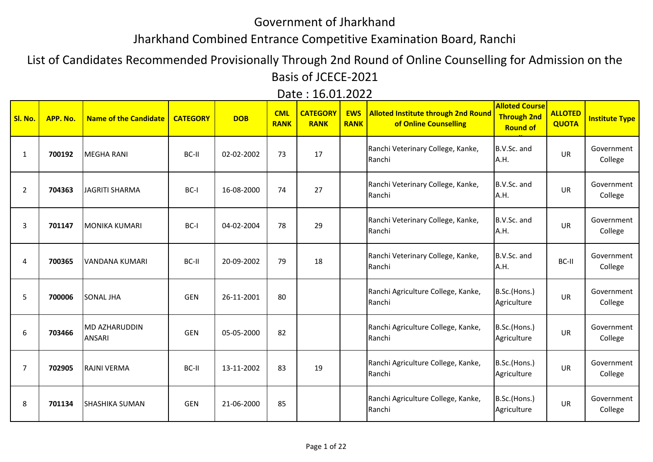## Government of Jharkhand

## Jharkhand Combined Entrance Competitive Examination Board, Ranchi

List of Candidates Recommended Provisionally Through 2nd Round of Online Counselling for Admission on the Basis of JCECE-2021

|  | Date: 16.01.2022 |
|--|------------------|
|  |                  |

| Sl. No.        | APP. No. | Name of the Candidate                 | <b>CATEGORY</b> | <b>DOB</b> | <b>CML</b><br><b>RANK</b> | <b>CATEGORY</b><br><b>RANK</b> | <b>EWS</b><br><b>RANK</b> | <b>Alloted Institute through 2nd Round</b><br>of Online Counselling | <b>Alloted Course</b><br><b>Through 2nd</b><br><b>Round of</b> | <b>ALLOTED</b><br><b>QUOTA</b> | <b>Institute Type</b> |
|----------------|----------|---------------------------------------|-----------------|------------|---------------------------|--------------------------------|---------------------------|---------------------------------------------------------------------|----------------------------------------------------------------|--------------------------------|-----------------------|
| $\mathbf{1}$   | 700192   | <b>MEGHA RANI</b>                     | BC-II           | 02-02-2002 | 73                        | 17                             |                           | Ranchi Veterinary College, Kanke,<br>Ranchi                         | B.V.Sc. and<br>A.H.                                            | <b>UR</b>                      | Government<br>College |
| $\overline{2}$ | 704363   | <b>JAGRITI SHARMA</b>                 | BC-I            | 16-08-2000 | 74                        | 27                             |                           | Ranchi Veterinary College, Kanke,<br>Ranchi                         | B.V.Sc. and<br>A.H.                                            | <b>UR</b>                      | Government<br>College |
| 3              | 701147   | <b>MONIKA KUMARI</b>                  | BC-I            | 04-02-2004 | 78                        | 29                             |                           | Ranchi Veterinary College, Kanke,<br>Ranchi                         | B.V.Sc. and<br>A.H.                                            | <b>UR</b>                      | Government<br>College |
| 4              | 700365   | VANDANA KUMARI                        | BC-II           | 20-09-2002 | 79                        | 18                             |                           | Ranchi Veterinary College, Kanke,<br>Ranchi                         | B.V.Sc. and<br>A.H.                                            | BC-II                          | Government<br>College |
| 5              | 700006   | <b>SONAL JHA</b>                      | <b>GEN</b>      | 26-11-2001 | 80                        |                                |                           | Ranchi Agriculture College, Kanke,<br>Ranchi                        | B.Sc.(Hons.)<br>Agriculture                                    | <b>UR</b>                      | Government<br>College |
| 6              | 703466   | <b>MD AZHARUDDIN</b><br><b>ANSARI</b> | <b>GEN</b>      | 05-05-2000 | 82                        |                                |                           | Ranchi Agriculture College, Kanke,<br>Ranchi                        | B.Sc.(Hons.)<br>Agriculture                                    | <b>UR</b>                      | Government<br>College |
| 7              | 702905   | <b>RAJNI VERMA</b>                    | BC-II           | 13-11-2002 | 83                        | 19                             |                           | Ranchi Agriculture College, Kanke,<br>Ranchi                        | B.Sc.(Hons.)<br>Agriculture                                    | <b>UR</b>                      | Government<br>College |
| 8              | 701134   | <b>SHASHIKA SUMAN</b>                 | <b>GEN</b>      | 21-06-2000 | 85                        |                                |                           | Ranchi Agriculture College, Kanke,<br>Ranchi                        | B.Sc.(Hons.)<br>Agriculture                                    | <b>UR</b>                      | Government<br>College |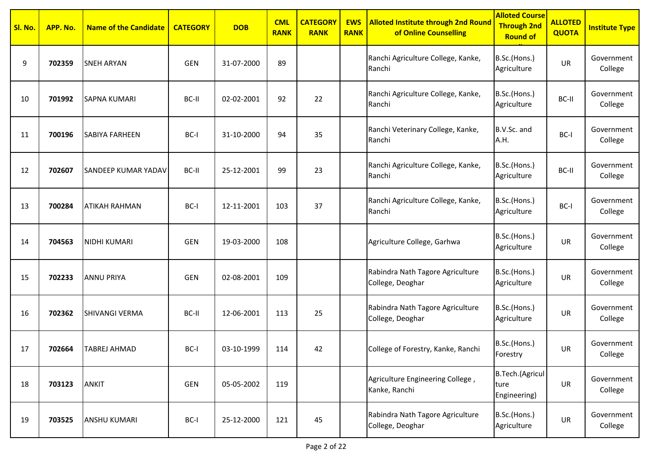| Sl. No. | APP. No. | <b>Name of the Candidate</b> | <b>CATEGORY</b> | <b>DOB</b> | <b>CML</b><br><b>RANK</b> | <b>CATEGORY</b><br><b>RANK</b> | <b>EWS</b><br><b>RANK</b> | <b>Alloted Institute through 2nd Round</b><br>of Online Counselling | <b>Alloted Course</b><br><b>Through 2nd</b><br><b>Round of</b> | <b>ALLOTED</b><br><b>QUOTA</b> | <b>Institute Type</b> |
|---------|----------|------------------------------|-----------------|------------|---------------------------|--------------------------------|---------------------------|---------------------------------------------------------------------|----------------------------------------------------------------|--------------------------------|-----------------------|
| 9       | 702359   | <b>SNEH ARYAN</b>            | <b>GEN</b>      | 31-07-2000 | 89                        |                                |                           | Ranchi Agriculture College, Kanke,<br>Ranchi                        | B.Sc.(Hons.)<br>Agriculture                                    | UR                             | Government<br>College |
| 10      | 701992   | <b>SAPNA KUMARI</b>          | BC-II           | 02-02-2001 | 92                        | 22                             |                           | Ranchi Agriculture College, Kanke,<br>Ranchi                        | B.Sc.(Hons.)<br>Agriculture                                    | BC-II                          | Government<br>College |
| 11      | 700196   | <b>SABIYA FARHEEN</b>        | BC-I            | 31-10-2000 | 94                        | 35                             |                           | Ranchi Veterinary College, Kanke,<br>Ranchi                         | B.V.Sc. and<br>A.H.                                            | BC-I                           | Government<br>College |
| 12      | 702607   | <b>SANDEEP KUMAR YADAV</b>   | BC-II           | 25-12-2001 | 99                        | 23                             |                           | Ranchi Agriculture College, Kanke,<br>Ranchi                        | B.Sc.(Hons.)<br>Agriculture                                    | BC-II                          | Government<br>College |
| 13      | 700284   | <b>ATIKAH RAHMAN</b>         | BC-I            | 12-11-2001 | 103                       | 37                             |                           | Ranchi Agriculture College, Kanke,<br>Ranchi                        | B.Sc.(Hons.)<br>Agriculture                                    | BC-I                           | Government<br>College |
| 14      | 704563   | <b>NIDHI KUMARI</b>          | <b>GEN</b>      | 19-03-2000 | 108                       |                                |                           | Agriculture College, Garhwa                                         | B.Sc.(Hons.)<br>Agriculture                                    | UR                             | Government<br>College |
| 15      | 702233   | <b>ANNU PRIYA</b>            | <b>GEN</b>      | 02-08-2001 | 109                       |                                |                           | Rabindra Nath Tagore Agriculture<br>College, Deoghar                | B.Sc.(Hons.)<br>Agriculture                                    | UR                             | Government<br>College |
| 16      | 702362   | <b>SHIVANGI VERMA</b>        | BC-II           | 12-06-2001 | 113                       | 25                             |                           | Rabindra Nath Tagore Agriculture<br>College, Deoghar                | B.Sc.(Hons.)<br>Agriculture                                    | UR                             | Government<br>College |
| 17      | 702664   | <b>TABREJ AHMAD</b>          | BC-I            | 03-10-1999 | 114                       | 42                             |                           | College of Forestry, Kanke, Ranchi                                  | B.Sc.(Hons.)<br>Forestry                                       | UR                             | Government<br>College |
| 18      | 703123   | <b>ANKIT</b>                 | GEN             | 05-05-2002 | 119                       |                                |                           | Agriculture Engineering College,<br>Kanke, Ranchi                   | B.Tech.(Agricul<br>ture<br>Engineering)                        | UR                             | Government<br>College |
| 19      | 703525   | <b>ANSHU KUMARI</b>          | BC-I            | 25-12-2000 | 121                       | 45                             |                           | Rabindra Nath Tagore Agriculture<br>College, Deoghar                | B.Sc.(Hons.)<br>Agriculture                                    | <b>UR</b>                      | Government<br>College |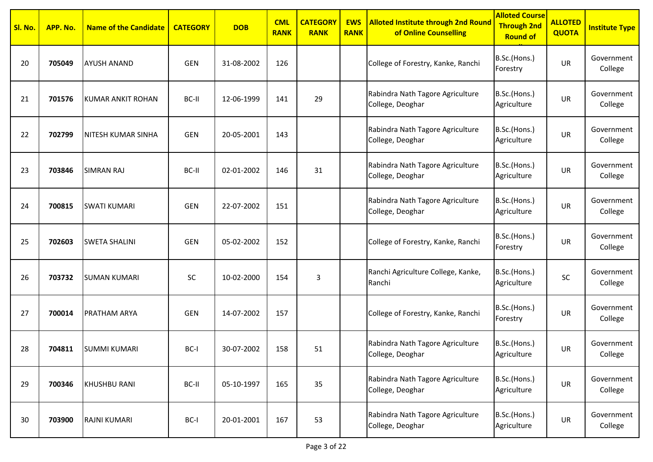| Sl. No. | APP. No. | <b>Name of the Candidate</b> | <b>CATEGORY</b> | <b>DOB</b> | <b>CML</b><br><b>RANK</b> | <b>CATEGORY</b><br><b>RANK</b> | <b>EWS</b><br><b>RANK</b> | <b>Alloted Institute through 2nd Round</b><br>of Online Counselling | <b>Alloted Course</b><br><b>Through 2nd</b><br><b>Round of</b> | <b>ALLOTED</b><br><b>QUOTA</b> | <b>Institute Type</b> |
|---------|----------|------------------------------|-----------------|------------|---------------------------|--------------------------------|---------------------------|---------------------------------------------------------------------|----------------------------------------------------------------|--------------------------------|-----------------------|
| 20      | 705049   | <b>AYUSH ANAND</b>           | <b>GEN</b>      | 31-08-2002 | 126                       |                                |                           | College of Forestry, Kanke, Ranchi                                  | B.Sc.(Hons.)<br>Forestry                                       | UR                             | Government<br>College |
| 21      | 701576   | KUMAR ANKIT ROHAN            | BC-II           | 12-06-1999 | 141                       | 29                             |                           | Rabindra Nath Tagore Agriculture<br>College, Deoghar                | B.Sc.(Hons.)<br>Agriculture                                    | UR                             | Government<br>College |
| 22      | 702799   | <b>NITESH KUMAR SINHA</b>    | <b>GEN</b>      | 20-05-2001 | 143                       |                                |                           | Rabindra Nath Tagore Agriculture<br>College, Deoghar                | B.Sc.(Hons.)<br>Agriculture                                    | UR                             | Government<br>College |
| 23      | 703846   | <b>SIMRAN RAJ</b>            | BC-II           | 02-01-2002 | 146                       | 31                             |                           | Rabindra Nath Tagore Agriculture<br>College, Deoghar                | B.Sc.(Hons.)<br>Agriculture                                    | UR                             | Government<br>College |
| 24      | 700815   | <b>SWATI KUMARI</b>          | <b>GEN</b>      | 22-07-2002 | 151                       |                                |                           | Rabindra Nath Tagore Agriculture<br>College, Deoghar                | B.Sc.(Hons.)<br>Agriculture                                    | <b>UR</b>                      | Government<br>College |
| 25      | 702603   | <b>SWETA SHALINI</b>         | <b>GEN</b>      | 05-02-2002 | 152                       |                                |                           | College of Forestry, Kanke, Ranchi                                  | B.Sc.(Hons.)<br>Forestry                                       | UR                             | Government<br>College |
| 26      | 703732   | <b>SUMAN KUMARI</b>          | SC              | 10-02-2000 | 154                       | 3                              |                           | Ranchi Agriculture College, Kanke,<br>Ranchi                        | B.Sc.(Hons.)<br>Agriculture                                    | SC                             | Government<br>College |
| 27      | 700014   | <b>PRATHAM ARYA</b>          | <b>GEN</b>      | 14-07-2002 | 157                       |                                |                           | College of Forestry, Kanke, Ranchi                                  | B.Sc.(Hons.)<br>Forestry                                       | UR                             | Government<br>College |
| 28      | 704811   | <b>SUMMI KUMARI</b>          | BC-I            | 30-07-2002 | 158                       | 51                             |                           | Rabindra Nath Tagore Agriculture<br>College, Deoghar                | B.Sc.(Hons.)<br>Agriculture                                    | UR                             | Government<br>College |
| 29      | 700346   | <b>KHUSHBU RANI</b>          | BC-II           | 05-10-1997 | 165                       | 35                             |                           | Rabindra Nath Tagore Agriculture<br>College, Deoghar                | B.Sc.(Hons.)<br>Agriculture                                    | <b>UR</b>                      | Government<br>College |
| 30      | 703900   | RAJNI KUMARI                 | BC-I            | 20-01-2001 | 167                       | 53                             |                           | Rabindra Nath Tagore Agriculture<br>College, Deoghar                | B.Sc.(Hons.)<br>Agriculture                                    | <b>UR</b>                      | Government<br>College |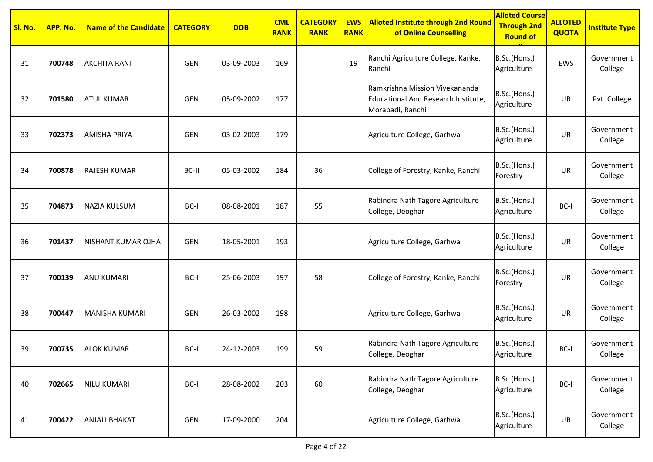| Sl. No. | APP. No. | <b>Name of the Candidate</b> | <b>CATEGORY</b> | <b>DOB</b> | <b>CML</b><br><b>RANK</b> | <b>CATEGORY</b><br><b>RANK</b> | <b>EWS</b><br><b>RANK</b> | <b>Alloted Institute through 2nd Round</b><br>of Online Counselling                       | <b>Alloted Course</b><br><b>Through 2nd</b><br><b>Round of</b> | <b>ALLOTED</b><br><b>QUOTA</b> | <b>Institute Type</b> |
|---------|----------|------------------------------|-----------------|------------|---------------------------|--------------------------------|---------------------------|-------------------------------------------------------------------------------------------|----------------------------------------------------------------|--------------------------------|-----------------------|
| 31      | 700748   | <b>AKCHITA RANI</b>          | <b>GEN</b>      | 03-09-2003 | 169                       |                                | 19                        | Ranchi Agriculture College, Kanke,<br>Ranchi                                              | B.Sc.(Hons.)<br>Agriculture                                    | <b>EWS</b>                     | Government<br>College |
| 32      | 701580   | <b>ATUL KUMAR</b>            | <b>GEN</b>      | 05-09-2002 | 177                       |                                |                           | Ramkrishna Mission Vivekananda<br>Educational And Research Institute,<br>Morabadi, Ranchi | B.Sc.(Hons.)<br>Agriculture                                    | <b>UR</b>                      | Pvt. College          |
| 33      | 702373   | <b>AMISHA PRIYA</b>          | <b>GEN</b>      | 03-02-2003 | 179                       |                                |                           | Agriculture College, Garhwa                                                               | B.Sc.(Hons.)<br>Agriculture                                    | UR                             | Government<br>College |
| 34      | 700878   | <b>RAJESH KUMAR</b>          | BC-II           | 05-03-2002 | 184                       | 36                             |                           | College of Forestry, Kanke, Ranchi                                                        | B.Sc.(Hons.)<br>Forestry                                       | UR                             | Government<br>College |
| 35      | 704873   | <b>NAZIA KULSUM</b>          | BC-I            | 08-08-2001 | 187                       | 55                             |                           | Rabindra Nath Tagore Agriculture<br>College, Deoghar                                      | B.Sc.(Hons.)<br>Agriculture                                    | BC-I                           | Government<br>College |
| 36      | 701437   | NISHANT KUMAR OJHA           | <b>GEN</b>      | 18-05-2001 | 193                       |                                |                           | Agriculture College, Garhwa                                                               | B.Sc.(Hons.)<br>Agriculture                                    | UR                             | Government<br>College |
| 37      | 700139   | <b>ANU KUMARI</b>            | BC-I            | 25-06-2003 | 197                       | 58                             |                           | College of Forestry, Kanke, Ranchi                                                        | B.Sc.(Hons.)<br>Forestry                                       | UR                             | Government<br>College |
| 38      | 700447   | <b>MANISHA KUMARI</b>        | <b>GEN</b>      | 26-03-2002 | 198                       |                                |                           | Agriculture College, Garhwa                                                               | B.Sc.(Hons.)<br>Agriculture                                    | UR                             | Government<br>College |
| 39      | 700735   | <b>ALOK KUMAR</b>            | BC-I            | 24-12-2003 | 199                       | 59                             |                           | Rabindra Nath Tagore Agriculture<br>College, Deoghar                                      | B.Sc.(Hons.)<br>Agriculture                                    | BC-I                           | Government<br>College |
| 40      | 702665   | <b>NILU KUMARI</b>           | $BC-I$          | 28-08-2002 | 203                       | 60                             |                           | Rabindra Nath Tagore Agriculture<br>College, Deoghar                                      | B.Sc.(Hons.)<br>Agriculture                                    | BC-I                           | Government<br>College |
| 41      | 700422   | <b>ANJALI BHAKAT</b>         | GEN             | 17-09-2000 | 204                       |                                |                           | Agriculture College, Garhwa                                                               | B.Sc.(Hons.)<br>Agriculture                                    | UR                             | Government<br>College |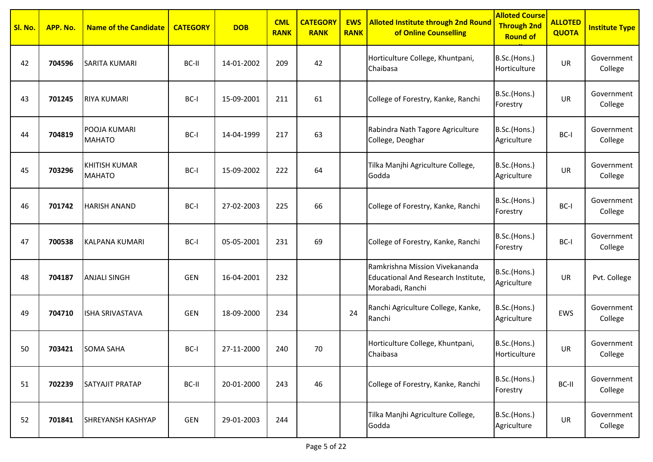| Sl. No. | APP. No. | <b>Name of the Candidate</b>          | <b>CATEGORY</b> | <b>DOB</b> | <b>CML</b><br><b>RANK</b> | <b>CATEGORY</b><br><b>RANK</b> | <b>EWS</b><br><b>RANK</b> | <b>Alloted Institute through 2nd Round</b><br>of Online Counselling                       | <b>Alloted Course</b><br><b>Through 2nd</b><br><b>Round of</b> | <b>ALLOTED</b><br><b>QUOTA</b> | <b>Institute Type</b> |
|---------|----------|---------------------------------------|-----------------|------------|---------------------------|--------------------------------|---------------------------|-------------------------------------------------------------------------------------------|----------------------------------------------------------------|--------------------------------|-----------------------|
| 42      | 704596   | <b>SARITA KUMARI</b>                  | BC-II           | 14-01-2002 | 209                       | 42                             |                           | Horticulture College, Khuntpani,<br>Chaibasa                                              | B.Sc.(Hons.)<br>Horticulture                                   | UR                             | Government<br>College |
| 43      | 701245   | <b>RIYA KUMARI</b>                    | BC-I            | 15-09-2001 | 211                       | 61                             |                           | College of Forestry, Kanke, Ranchi                                                        | B.Sc.(Hons.)<br>Forestry                                       | UR                             | Government<br>College |
| 44      | 704819   | POOJA KUMARI<br><b>MAHATO</b>         | BC-I            | 14-04-1999 | 217                       | 63                             |                           | Rabindra Nath Tagore Agriculture<br>College, Deoghar                                      | B.Sc.(Hons.)<br>Agriculture                                    | BC-I                           | Government<br>College |
| 45      | 703296   | <b>KHITISH KUMAR</b><br><b>MAHATO</b> | BC-I            | 15-09-2002 | 222                       | 64                             |                           | Tilka Manjhi Agriculture College,<br>Godda                                                | B.Sc.(Hons.)<br>Agriculture                                    | UR                             | Government<br>College |
| 46      | 701742   | <b>HARISH ANAND</b>                   | BC-I            | 27-02-2003 | 225                       | 66                             |                           | College of Forestry, Kanke, Ranchi                                                        | B.Sc.(Hons.)<br>Forestry                                       | BC-I                           | Government<br>College |
| 47      | 700538   | <b>KALPANA KUMARI</b>                 | BC-I            | 05-05-2001 | 231                       | 69                             |                           | College of Forestry, Kanke, Ranchi                                                        | B.Sc.(Hons.)<br>Forestry                                       | BC-I                           | Government<br>College |
| 48      | 704187   | <b>ANJALI SINGH</b>                   | <b>GEN</b>      | 16-04-2001 | 232                       |                                |                           | Ramkrishna Mission Vivekananda<br>Educational And Research Institute,<br>Morabadi, Ranchi | B.Sc.(Hons.)<br>Agriculture                                    | <b>UR</b>                      | Pvt. College          |
| 49      | 704710   | <b>ISHA SRIVASTAVA</b>                | <b>GEN</b>      | 18-09-2000 | 234                       |                                | 24                        | Ranchi Agriculture College, Kanke,<br>Ranchi                                              | B.Sc.(Hons.)<br>Agriculture                                    | <b>EWS</b>                     | Government<br>College |
| 50      | 703421   | <b>SOMA SAHA</b>                      | BC-I            | 27-11-2000 | 240                       | 70                             |                           | Horticulture College, Khuntpani,<br>Chaibasa                                              | B.Sc.(Hons.)<br>Horticulture                                   | UR                             | Government<br>College |
| 51      | 702239   | <b>SATYAJIT PRATAP</b>                | BC-II           | 20-01-2000 | 243                       | 46                             |                           | College of Forestry, Kanke, Ranchi                                                        | B.Sc.(Hons.)<br>Forestry                                       | BC-II                          | Government<br>College |
| 52      | 701841   | SHREYANSH KASHYAP                     | <b>GEN</b>      | 29-01-2003 | 244                       |                                |                           | Tilka Manjhi Agriculture College,<br>Godda                                                | B.Sc.(Hons.)<br>Agriculture                                    | <b>UR</b>                      | Government<br>College |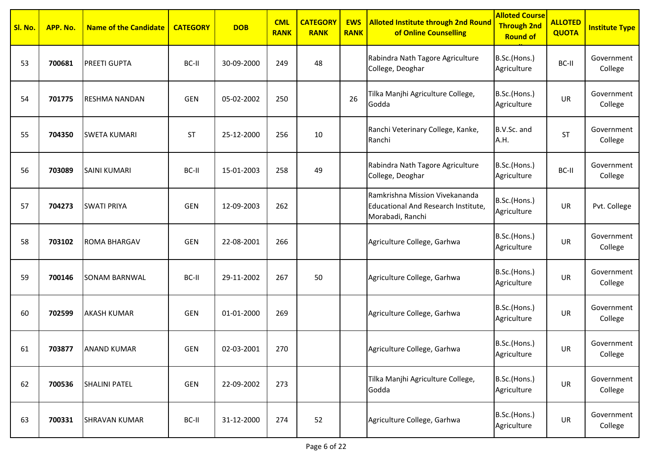| Sl. No. | APP. No. | <b>Name of the Candidate</b> | <b>CATEGORY</b> | <b>DOB</b> | <b>CML</b><br><b>RANK</b> | <b>CATEGORY</b><br><b>RANK</b> | <b>EWS</b><br><b>RANK</b> | <b>Alloted Institute through 2nd Round</b><br>of Online Counselling                       | <b>Alloted Course</b><br><b>Through 2nd</b><br><b>Round of</b> | <b>ALLOTED</b><br><b>QUOTA</b> | <b>Institute Type</b> |
|---------|----------|------------------------------|-----------------|------------|---------------------------|--------------------------------|---------------------------|-------------------------------------------------------------------------------------------|----------------------------------------------------------------|--------------------------------|-----------------------|
| 53      | 700681   | <b>PREETI GUPTA</b>          | BC-II           | 30-09-2000 | 249                       | 48                             |                           | Rabindra Nath Tagore Agriculture<br>College, Deoghar                                      | B.Sc.(Hons.)<br>Agriculture                                    | BC-II                          | Government<br>College |
| 54      | 701775   | <b>RESHMA NANDAN</b>         | <b>GEN</b>      | 05-02-2002 | 250                       |                                | 26                        | Tilka Manjhi Agriculture College,<br>Godda                                                | B.Sc.(Hons.)<br>Agriculture                                    | UR                             | Government<br>College |
| 55      | 704350   | <b>SWETA KUMARI</b>          | <b>ST</b>       | 25-12-2000 | 256                       | 10                             |                           | Ranchi Veterinary College, Kanke,<br>Ranchi                                               | B.V.Sc. and<br>A.H.                                            | ST                             | Government<br>College |
| 56      | 703089   | <b>SAINI KUMARI</b>          | BC-II           | 15-01-2003 | 258                       | 49                             |                           | Rabindra Nath Tagore Agriculture<br>College, Deoghar                                      | B.Sc.(Hons.)<br>Agriculture                                    | BC-II                          | Government<br>College |
| 57      | 704273   | <b>SWATI PRIYA</b>           | <b>GEN</b>      | 12-09-2003 | 262                       |                                |                           | Ramkrishna Mission Vivekananda<br>Educational And Research Institute,<br>Morabadi, Ranchi | B.Sc.(Hons.)<br>Agriculture                                    | <b>UR</b>                      | Pvt. College          |
| 58      | 703102   | <b>ROMA BHARGAV</b>          | <b>GEN</b>      | 22-08-2001 | 266                       |                                |                           | Agriculture College, Garhwa                                                               | B.Sc.(Hons.)<br>Agriculture                                    | UR                             | Government<br>College |
| 59      | 700146   | <b>SONAM BARNWAL</b>         | BC-II           | 29-11-2002 | 267                       | 50                             |                           | Agriculture College, Garhwa                                                               | B.Sc.(Hons.)<br>Agriculture                                    | UR                             | Government<br>College |
| 60      | 702599   | <b>AKASH KUMAR</b>           | <b>GEN</b>      | 01-01-2000 | 269                       |                                |                           | Agriculture College, Garhwa                                                               | B.Sc.(Hons.)<br>Agriculture                                    | UR                             | Government<br>College |
| 61      | 703877   | <b>ANAND KUMAR</b>           | <b>GEN</b>      | 02-03-2001 | 270                       |                                |                           | Agriculture College, Garhwa                                                               | B.Sc.(Hons.)<br>Agriculture                                    | UR                             | Government<br>College |
| 62      | 700536   | <b>SHALINI PATEL</b>         | GEN             | 22-09-2002 | 273                       |                                |                           | Tilka Manjhi Agriculture College,<br>Godda                                                | B.Sc.(Hons.)<br>Agriculture                                    | <b>UR</b>                      | Government<br>College |
| 63      | 700331   | <b>SHRAVAN KUMAR</b>         | BC-II           | 31-12-2000 | 274                       | 52                             |                           | Agriculture College, Garhwa                                                               | B.Sc.(Hons.)<br>Agriculture                                    | <b>UR</b>                      | Government<br>College |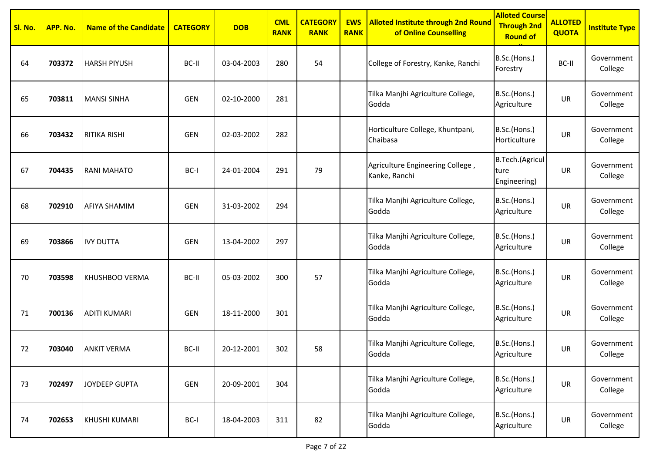| Sl. No. | APP. No. | <b>Name of the Candidate</b> | <b>CATEGORY</b> | <b>DOB</b> | <b>CML</b><br><b>RANK</b> | <b>CATEGORY</b><br><b>RANK</b> | <b>EWS</b><br><b>RANK</b> | <b>Alloted Institute through 2nd Round</b><br>of Online Counselling | <b>Alloted Course</b><br><b>Through 2nd</b><br><b>Round of</b> | <b>ALLOTED</b><br><b>QUOTA</b> | <b>Institute Type</b> |
|---------|----------|------------------------------|-----------------|------------|---------------------------|--------------------------------|---------------------------|---------------------------------------------------------------------|----------------------------------------------------------------|--------------------------------|-----------------------|
| 64      | 703372   | <b>HARSH PIYUSH</b>          | BC-II           | 03-04-2003 | 280                       | 54                             |                           | College of Forestry, Kanke, Ranchi                                  | B.Sc.(Hons.)<br>Forestry                                       | BC-II                          | Government<br>College |
| 65      | 703811   | <b>MANSI SINHA</b>           | <b>GEN</b>      | 02-10-2000 | 281                       |                                |                           | Tilka Manjhi Agriculture College,<br>Godda                          | B.Sc.(Hons.)<br>Agriculture                                    | <b>UR</b>                      | Government<br>College |
| 66      | 703432   | RITIKA RISHI                 | GEN             | 02-03-2002 | 282                       |                                |                           | Horticulture College, Khuntpani,<br>Chaibasa                        | B.Sc.(Hons.)<br>Horticulture                                   | UR                             | Government<br>College |
| 67      | 704435   | <b>RANI MAHATO</b>           | BC-I            | 24-01-2004 | 291                       | 79                             |                           | Agriculture Engineering College,<br>Kanke, Ranchi                   | B.Tech.(Agricul<br>ture<br>Engineering)                        | UR                             | Government<br>College |
| 68      | 702910   | AFIYA SHAMIM                 | <b>GEN</b>      | 31-03-2002 | 294                       |                                |                           | Tilka Manjhi Agriculture College,<br>Godda                          | B.Sc.(Hons.)<br>Agriculture                                    | UR                             | Government<br>College |
| 69      | 703866   | <b>IVY DUTTA</b>             | <b>GEN</b>      | 13-04-2002 | 297                       |                                |                           | Tilka Manjhi Agriculture College,<br>Godda                          | B.Sc.(Hons.)<br>Agriculture                                    | UR                             | Government<br>College |
| 70      | 703598   | KHUSHBOO VERMA               | BC-II           | 05-03-2002 | 300                       | 57                             |                           | Tilka Manjhi Agriculture College,<br>Godda                          | B.Sc.(Hons.)<br>Agriculture                                    | <b>UR</b>                      | Government<br>College |
| 71      | 700136   | <b>ADITI KUMARI</b>          | <b>GEN</b>      | 18-11-2000 | 301                       |                                |                           | Tilka Manjhi Agriculture College,<br>Godda                          | B.Sc.(Hons.)<br>Agriculture                                    | <b>UR</b>                      | Government<br>College |
| 72      | 703040   | <b>ANKIT VERMA</b>           | BC-II           | 20-12-2001 | 302                       | 58                             |                           | Tilka Manjhi Agriculture College,<br>Godda                          | B.Sc.(Hons.)<br>Agriculture                                    | UR                             | Government<br>College |
| 73      | 702497   | <b>JOYDEEP GUPTA</b>         | <b>GEN</b>      | 20-09-2001 | 304                       |                                |                           | Tilka Manjhi Agriculture College,<br>Godda                          | B.Sc.(Hons.)<br>Agriculture                                    | UR                             | Government<br>College |
| 74      | 702653   | <b>KHUSHI KUMARI</b>         | $BC-I$          | 18-04-2003 | 311                       | 82                             |                           | Tilka Manjhi Agriculture College,<br>Godda                          | B.Sc.(Hons.)<br>Agriculture                                    | UR                             | Government<br>College |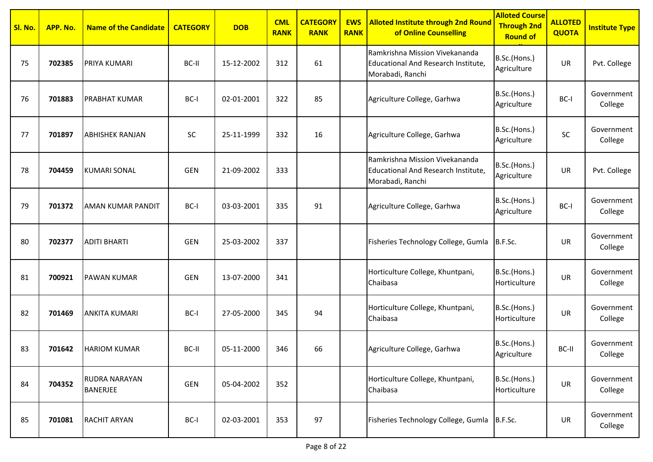| Sl. No. | APP. No. | <b>Name of the Candidate</b>     | <b>CATEGORY</b> | <b>DOB</b> | <b>CML</b><br><b>RANK</b> | <b>CATEGORY</b><br><b>RANK</b> | <b>EWS</b><br><b>RANK</b> | <b>Alloted Institute through 2nd Round</b><br>of Online Counselling                       | <b>Alloted Course</b><br><b>Through 2nd</b><br><b>Round of</b> | <b>ALLOTED</b><br><b>QUOTA</b> | <b>Institute Type</b> |
|---------|----------|----------------------------------|-----------------|------------|---------------------------|--------------------------------|---------------------------|-------------------------------------------------------------------------------------------|----------------------------------------------------------------|--------------------------------|-----------------------|
| 75      | 702385   | PRIYA KUMARI                     | BC-II           | 15-12-2002 | 312                       | 61                             |                           | Ramkrishna Mission Vivekananda<br>Educational And Research Institute,<br>Morabadi, Ranchi | B.Sc.(Hons.)<br>Agriculture                                    | <b>UR</b>                      | Pvt. College          |
| 76      | 701883   | PRABHAT KUMAR                    | BC-I            | 02-01-2001 | 322                       | 85                             |                           | Agriculture College, Garhwa                                                               | B.Sc.(Hons.)<br>Agriculture                                    | BC-I                           | Government<br>College |
| 77      | 701897   | <b>ABHISHEK RANJAN</b>           | SC              | 25-11-1999 | 332                       | 16                             |                           | Agriculture College, Garhwa                                                               | B.Sc.(Hons.)<br>Agriculture                                    | SC                             | Government<br>College |
| 78      | 704459   | <b>KUMARI SONAL</b>              | <b>GEN</b>      | 21-09-2002 | 333                       |                                |                           | Ramkrishna Mission Vivekananda<br>Educational And Research Institute,<br>Morabadi, Ranchi | B.Sc.(Hons.)<br>Agriculture                                    | UR                             | Pvt. College          |
| 79      | 701372   | AMAN KUMAR PANDIT                | BC-I            | 03-03-2001 | 335                       | 91                             |                           | Agriculture College, Garhwa                                                               | B.Sc.(Hons.)<br>Agriculture                                    | BC-I                           | Government<br>College |
| 80      | 702377   | <b>ADITI BHARTI</b>              | <b>GEN</b>      | 25-03-2002 | 337                       |                                |                           | Fisheries Technology College, Gumla                                                       | B.F.Sc.                                                        | UR                             | Government<br>College |
| 81      | 700921   | PAWAN KUMAR                      | <b>GEN</b>      | 13-07-2000 | 341                       |                                |                           | Horticulture College, Khuntpani,<br>Chaibasa                                              | B.Sc.(Hons.)<br>Horticulture                                   | <b>UR</b>                      | Government<br>College |
| 82      | 701469   | <b>ANKITA KUMARI</b>             | BC-I            | 27-05-2000 | 345                       | 94                             |                           | Horticulture College, Khuntpani,<br>Chaibasa                                              | B.Sc.(Hons.)<br>Horticulture                                   | <b>UR</b>                      | Government<br>College |
| 83      | 701642   | <b>HARIOM KUMAR</b>              | BC-II           | 05-11-2000 | 346                       | 66                             |                           | Agriculture College, Garhwa                                                               | B.Sc.(Hons.)<br>Agriculture                                    | BC-II                          | Government<br>College |
| 84      | 704352   | RUDRA NARAYAN<br><b>BANERJEE</b> | GEN             | 05-04-2002 | 352                       |                                |                           | Horticulture College, Khuntpani,<br>Chaibasa                                              | B.Sc.(Hons.)<br>Horticulture                                   | UR                             | Government<br>College |
| 85      | 701081   | <b>RACHIT ARYAN</b>              | BC-I            | 02-03-2001 | 353                       | 97                             |                           | Fisheries Technology College, Gumla B.F.Sc.                                               |                                                                | UR                             | Government<br>College |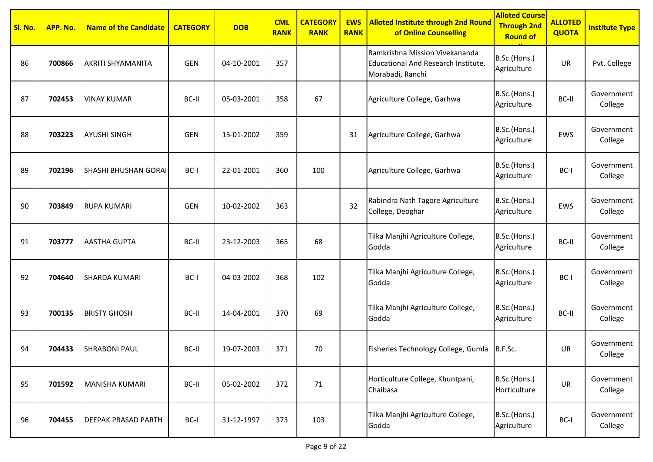| Sl. No. | APP. No. | <b>Name of the Candidate</b> | <b>CATEGORY</b> | <b>DOB</b> | <b>CML</b><br><b>RANK</b> | <b>CATEGORY</b><br><b>RANK</b> | <b>EWS</b><br><b>RANK</b> | <b>Alloted Institute through 2nd Round</b><br>of Online Counselling                       | <b>Alloted Course</b><br><b>Through 2nd</b><br><b>Round of</b> | <b>ALLOTED</b><br><b>QUOTA</b> | <b>Institute Type</b> |
|---------|----------|------------------------------|-----------------|------------|---------------------------|--------------------------------|---------------------------|-------------------------------------------------------------------------------------------|----------------------------------------------------------------|--------------------------------|-----------------------|
| 86      | 700866   | <b>AKRITI SHYAMANITA</b>     | <b>GEN</b>      | 04-10-2001 | 357                       |                                |                           | Ramkrishna Mission Vivekananda<br>Educational And Research Institute,<br>Morabadi, Ranchi | B.Sc.(Hons.)<br>Agriculture                                    | UR                             | Pvt. College          |
| 87      | 702453   | <b>VINAY KUMAR</b>           | BC-II           | 05-03-2001 | 358                       | 67                             |                           | Agriculture College, Garhwa                                                               | B.Sc.(Hons.)<br>Agriculture                                    | BC-II                          | Government<br>College |
| 88      | 703223   | <b>AYUSHI SINGH</b>          | <b>GEN</b>      | 15-01-2002 | 359                       |                                | 31                        | Agriculture College, Garhwa                                                               | B.Sc.(Hons.)<br>Agriculture                                    | EWS                            | Government<br>College |
| 89      | 702196   | SHASHI BHUSHAN GORAI         | BC-I            | 22-01-2001 | 360                       | 100                            |                           | Agriculture College, Garhwa                                                               | B.Sc.(Hons.)<br>Agriculture                                    | BC-I                           | Government<br>College |
| 90      | 703849   | <b>RUPA KUMARI</b>           | GEN             | 10-02-2002 | 363                       |                                | 32                        | Rabindra Nath Tagore Agriculture<br>College, Deoghar                                      | B.Sc.(Hons.)<br>Agriculture                                    | EWS                            | Government<br>College |
| 91      | 703777   | <b>AASTHA GUPTA</b>          | BC-II           | 23-12-2003 | 365                       | 68                             |                           | Tilka Manjhi Agriculture College,<br>Godda                                                | B.Sc.(Hons.)<br>Agriculture                                    | BC-II                          | Government<br>College |
| 92      | 704640   | <b>SHARDA KUMARI</b>         | BC-I            | 04-03-2002 | 368                       | 102                            |                           | Tilka Manjhi Agriculture College,<br>Godda                                                | B.Sc.(Hons.)<br>Agriculture                                    | BC-I                           | Government<br>College |
| 93      | 700135   | <b>BRISTY GHOSH</b>          | BC-II           | 14-04-2001 | 370                       | 69                             |                           | Tilka Manjhi Agriculture College,<br>Godda                                                | B.Sc.(Hons.)<br>Agriculture                                    | BC-II                          | Government<br>College |
| 94      | 704433   | <b>SHRABONI PAUL</b>         | BC-II           | 19-07-2003 | 371                       | 70                             |                           | Fisheries Technology College, Gumla   B.F.Sc.                                             |                                                                | UR                             | Government<br>College |
| 95      | 701592   | MANISHA KUMARI               | BC-II           | 05-02-2002 | 372                       | 71                             |                           | Horticulture College, Khuntpani,<br>Chaibasa                                              | B.Sc.(Hons.)<br>Horticulture                                   | UR                             | Government<br>College |
| 96      | 704455   | <b>DEEPAK PRASAD PARTH</b>   | BC-I            | 31-12-1997 | 373                       | 103                            |                           | Tilka Manjhi Agriculture College,<br>Godda                                                | B.Sc.(Hons.)<br>Agriculture                                    | BC-I                           | Government<br>College |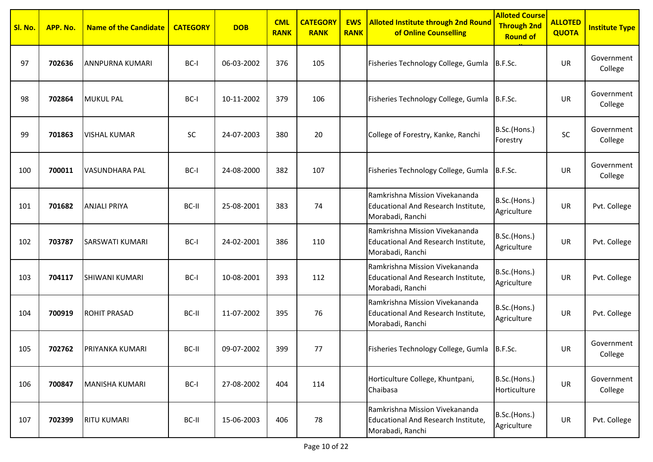| <mark>Sl. No.</mark> | APP. No. | <b>Name of the Candidate</b> | <b>CATEGORY</b> | <b>DOB</b> | <b>CML</b><br><b>RANK</b> | <b>CATEGORY</b><br><b>RANK</b> | <b>EWS</b><br><b>RANK</b> | <b>Alloted Institute through 2nd Round</b><br>of Online Counselling                       | <b>Alloted Course</b><br><b>Through 2nd</b><br><b>Round of</b> | <b>ALLOTED</b><br><b>QUOTA</b> | <b>Institute Type</b> |
|----------------------|----------|------------------------------|-----------------|------------|---------------------------|--------------------------------|---------------------------|-------------------------------------------------------------------------------------------|----------------------------------------------------------------|--------------------------------|-----------------------|
| 97                   | 702636   | ANNPURNA KUMARI              | BC-I            | 06-03-2002 | 376                       | 105                            |                           | Fisheries Technology College, Gumla                                                       | B.F.Sc.                                                        | <b>UR</b>                      | Government<br>College |
| 98                   | 702864   | <b>MUKUL PAL</b>             | BC-I            | 10-11-2002 | 379                       | 106                            |                           | Fisheries Technology College, Gumla                                                       | B.F.Sc.                                                        | <b>UR</b>                      | Government<br>College |
| 99                   | 701863   | <b>VISHAL KUMAR</b>          | SC              | 24-07-2003 | 380                       | 20                             |                           | College of Forestry, Kanke, Ranchi                                                        | B.Sc.(Hons.)<br>Forestry                                       | SC                             | Government<br>College |
| 100                  | 700011   | VASUNDHARA PAL               | BC-I            | 24-08-2000 | 382                       | 107                            |                           | Fisheries Technology College, Gumla                                                       | B.F.Sc.                                                        | UR                             | Government<br>College |
| 101                  | 701682   | <b>ANJALI PRIYA</b>          | BC-II           | 25-08-2001 | 383                       | 74                             |                           | Ramkrishna Mission Vivekananda<br>Educational And Research Institute,<br>Morabadi, Ranchi | B.Sc.(Hons.)<br>Agriculture                                    | <b>UR</b>                      | Pvt. College          |
| 102                  | 703787   | SARSWATI KUMARI              | BC-I            | 24-02-2001 | 386                       | 110                            |                           | Ramkrishna Mission Vivekananda<br>Educational And Research Institute,<br>Morabadi, Ranchi | B.Sc.(Hons.)<br>Agriculture                                    | <b>UR</b>                      | Pvt. College          |
| 103                  | 704117   | SHIWANI KUMARI               | BC-I            | 10-08-2001 | 393                       | 112                            |                           | Ramkrishna Mission Vivekananda<br>Educational And Research Institute,<br>Morabadi, Ranchi | B.Sc.(Hons.)<br>Agriculture                                    | <b>UR</b>                      | Pvt. College          |
| 104                  | 700919   | <b>ROHIT PRASAD</b>          | BC-II           | 11-07-2002 | 395                       | 76                             |                           | Ramkrishna Mission Vivekananda<br>Educational And Research Institute,<br>Morabadi, Ranchi | B.Sc.(Hons.)<br>Agriculture                                    | <b>UR</b>                      | Pvt. College          |
| 105                  | 702762   | PRIYANKA KUMARI              | BC-II           | 09-07-2002 | 399                       | 77                             |                           | Fisheries Technology College, Gumla                                                       | B.F.Sc.                                                        | UR                             | Government<br>College |
| 106                  | 700847   | <b>MANISHA KUMARI</b>        | BC-I            | 27-08-2002 | 404                       | 114                            |                           | Horticulture College, Khuntpani,<br>Chaibasa                                              | B.Sc.(Hons.)<br>Horticulture                                   | <b>UR</b>                      | Government<br>College |
| 107                  | 702399   | <b>RITU KUMARI</b>           | BC-II           | 15-06-2003 | 406                       | 78                             |                           | Ramkrishna Mission Vivekananda<br>Educational And Research Institute,<br>Morabadi, Ranchi | B.Sc.(Hons.)<br>Agriculture                                    | <b>UR</b>                      | Pvt. College          |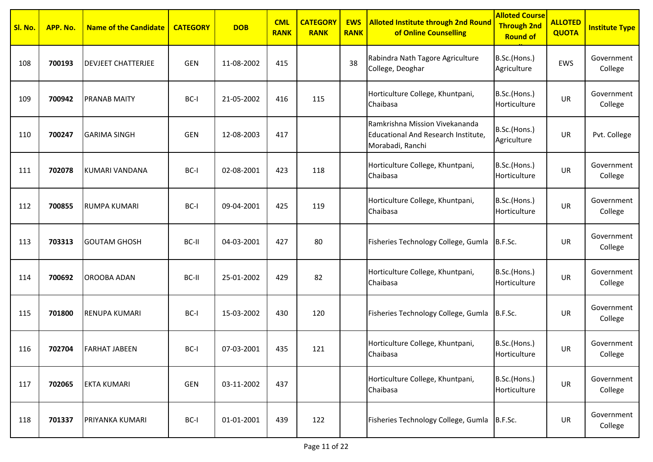| Sl. No. | APP. No. | <b>Name of the Candidate</b> | <b>CATEGORY</b> | <b>DOB</b> | <b>CML</b><br><b>RANK</b> | <b>CATEGORY</b><br><b>RANK</b> | <b>EWS</b><br><b>RANK</b> | <b>Alloted Institute through 2nd Round</b><br>of Online Counselling                       | <b>Alloted Course</b><br><b>Through 2nd</b><br><b>Round of</b> | <b>ALLOTED</b><br><b>QUOTA</b> | <b>Institute Type</b> |
|---------|----------|------------------------------|-----------------|------------|---------------------------|--------------------------------|---------------------------|-------------------------------------------------------------------------------------------|----------------------------------------------------------------|--------------------------------|-----------------------|
| 108     | 700193   | <b>DEVJEET CHATTERJEE</b>    | <b>GEN</b>      | 11-08-2002 | 415                       |                                | 38                        | Rabindra Nath Tagore Agriculture<br>College, Deoghar                                      | B.Sc.(Hons.)<br>Agriculture                                    | EWS                            | Government<br>College |
| 109     | 700942   | <b>PRANAB MAITY</b>          | BC-I            | 21-05-2002 | 416                       | 115                            |                           | Horticulture College, Khuntpani,<br>Chaibasa                                              | B.Sc.(Hons.)<br>Horticulture                                   | UR                             | Government<br>College |
| 110     | 700247   | <b>GARIMA SINGH</b>          | <b>GEN</b>      | 12-08-2003 | 417                       |                                |                           | Ramkrishna Mission Vivekananda<br>Educational And Research Institute,<br>Morabadi, Ranchi | B.Sc.(Hons.)<br>Agriculture                                    | UR                             | Pvt. College          |
| 111     | 702078   | KUMARI VANDANA               | BC-I            | 02-08-2001 | 423                       | 118                            |                           | Horticulture College, Khuntpani,<br>Chaibasa                                              | B.Sc.(Hons.)<br>Horticulture                                   | UR                             | Government<br>College |
| 112     | 700855   | RUMPA KUMARI                 | BC-I            | 09-04-2001 | 425                       | 119                            |                           | Horticulture College, Khuntpani,<br>Chaibasa                                              | B.Sc.(Hons.)<br>Horticulture                                   | UR                             | Government<br>College |
| 113     | 703313   | <b>GOUTAM GHOSH</b>          | BC-II           | 04-03-2001 | 427                       | 80                             |                           | Fisheries Technology College, Gumla                                                       | B.F.Sc.                                                        | <b>UR</b>                      | Government<br>College |
| 114     | 700692   | <b>OROOBA ADAN</b>           | BC-II           | 25-01-2002 | 429                       | 82                             |                           | Horticulture College, Khuntpani,<br>Chaibasa                                              | B.Sc.(Hons.)<br>Horticulture                                   | UR                             | Government<br>College |
| 115     | 701800   | <b>RENUPA KUMARI</b>         | BC-I            | 15-03-2002 | 430                       | 120                            |                           | Fisheries Technology College, Gumla                                                       | B.F.Sc.                                                        | <b>UR</b>                      | Government<br>College |
| 116     | 702704   | <b>FARHAT JABEEN</b>         | BC-I            | 07-03-2001 | 435                       | 121                            |                           | Horticulture College, Khuntpani,<br>Chaibasa                                              | B.Sc.(Hons.)<br>Horticulture                                   | UR                             | Government<br>College |
| 117     | 702065   | <b>EKTA KUMARI</b>           | GEN             | 03-11-2002 | 437                       |                                |                           | Horticulture College, Khuntpani,<br>Chaibasa                                              | B.Sc.(Hons.)<br>Horticulture                                   | UR                             | Government<br>College |
| 118     | 701337   | PRIYANKA KUMARI              | BC-I            | 01-01-2001 | 439                       | 122                            |                           | Fisheries Technology College, Gumla B.F.Sc.                                               |                                                                | UR                             | Government<br>College |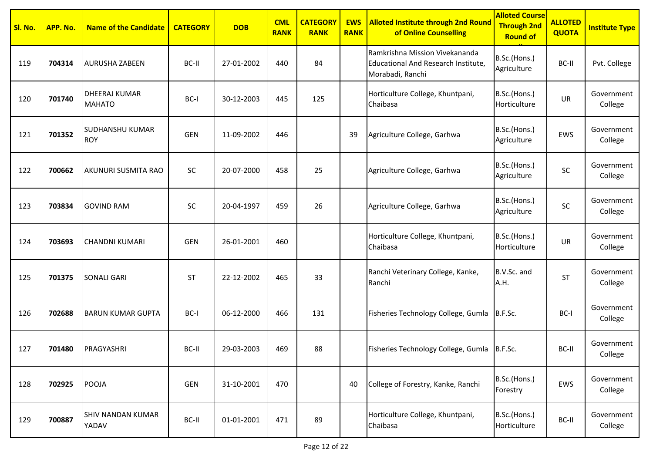| Sl. No. | APP. No. | <b>Name of the Candidate</b>          | <b>CATEGORY</b> | <b>DOB</b> | <b>CML</b><br><b>RANK</b> | <b>CATEGORY</b><br><b>RANK</b> | <b>EWS</b><br><b>RANK</b> | <b>Alloted Institute through 2nd Round</b><br>of Online Counselling                       | <b>Alloted Course</b><br><b>Through 2nd</b><br><b>Round of</b> | <b>ALLOTED</b><br><b>QUOTA</b> | <b>Institute Type</b> |
|---------|----------|---------------------------------------|-----------------|------------|---------------------------|--------------------------------|---------------------------|-------------------------------------------------------------------------------------------|----------------------------------------------------------------|--------------------------------|-----------------------|
| 119     | 704314   | <b>AURUSHA ZABEEN</b>                 | BC-II           | 27-01-2002 | 440                       | 84                             |                           | Ramkrishna Mission Vivekananda<br>Educational And Research Institute,<br>Morabadi, Ranchi | B.Sc.(Hons.)<br>Agriculture                                    | BC-II                          | Pvt. College          |
| 120     | 701740   | <b>DHEERAJ KUMAR</b><br><b>MAHATO</b> | BC-I            | 30-12-2003 | 445                       | 125                            |                           | Horticulture College, Khuntpani,<br>Chaibasa                                              | B.Sc.(Hons.)<br>Horticulture                                   | <b>UR</b>                      | Government<br>College |
| 121     | 701352   | <b>SUDHANSHU KUMAR</b><br><b>ROY</b>  | <b>GEN</b>      | 11-09-2002 | 446                       |                                | 39                        | Agriculture College, Garhwa                                                               | B.Sc.(Hons.)<br>Agriculture                                    | EWS                            | Government<br>College |
| 122     | 700662   | <b>AKUNURI SUSMITA RAO</b>            | SC              | 20-07-2000 | 458                       | 25                             |                           | Agriculture College, Garhwa                                                               | B.Sc.(Hons.)<br>Agriculture                                    | SC                             | Government<br>College |
| 123     | 703834   | <b>GOVIND RAM</b>                     | SC              | 20-04-1997 | 459                       | 26                             |                           | Agriculture College, Garhwa                                                               | B.Sc.(Hons.)<br>Agriculture                                    | SC                             | Government<br>College |
| 124     | 703693   | <b>CHANDNI KUMARI</b>                 | <b>GEN</b>      | 26-01-2001 | 460                       |                                |                           | Horticulture College, Khuntpani,<br>Chaibasa                                              | B.Sc.(Hons.)<br>Horticulture                                   | UR                             | Government<br>College |
| 125     | 701375   | <b>SONALI GARI</b>                    | ST              | 22-12-2002 | 465                       | 33                             |                           | Ranchi Veterinary College, Kanke,<br>Ranchi                                               | B.V.Sc. and<br>A.H.                                            | <b>ST</b>                      | Government<br>College |
| 126     | 702688   | <b>BARUN KUMAR GUPTA</b>              | BC-I            | 06-12-2000 | 466                       | 131                            |                           | Fisheries Technology College, Gumla                                                       | B.F.Sc.                                                        | BC-I                           | Government<br>College |
| 127     | 701480   | PRAGYASHRI                            | BC-II           | 29-03-2003 | 469                       | 88                             |                           | Fisheries Technology College, Gumla B.F.Sc.                                               |                                                                | BC-II                          | Government<br>College |
| 128     | 702925   | <b>POOJA</b>                          | GEN             | 31-10-2001 | 470                       |                                | 40                        | College of Forestry, Kanke, Ranchi                                                        | B.Sc.(Hons.)<br>Forestry                                       | EWS                            | Government<br>College |
| 129     | 700887   | <b>SHIV NANDAN KUMAR</b><br>YADAV     | BC-II           | 01-01-2001 | 471                       | 89                             |                           | Horticulture College, Khuntpani,<br>Chaibasa                                              | B.Sc.(Hons.)<br>Horticulture                                   | BC-II                          | Government<br>College |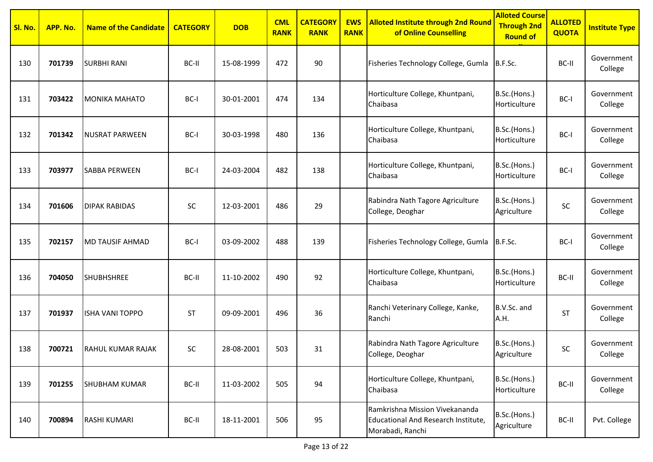| Sl. No. | APP. No. | <b>Name of the Candidate</b> | <b>CATEGORY</b> | <b>DOB</b> | <b>CML</b><br><b>RANK</b> | <b>CATEGORY</b><br><b>RANK</b> | <b>EWS</b><br><b>RANK</b> | <b>Alloted Institute through 2nd Round</b><br>of Online Counselling                       | <b>Alloted Course</b><br><b>Through 2nd</b><br><b>Round of</b> | <b>ALLOTED</b><br><b>QUOTA</b> | <b>Institute Type</b> |
|---------|----------|------------------------------|-----------------|------------|---------------------------|--------------------------------|---------------------------|-------------------------------------------------------------------------------------------|----------------------------------------------------------------|--------------------------------|-----------------------|
| 130     | 701739   | <b>SURBHI RANI</b>           | BC-II           | 15-08-1999 | 472                       | 90                             |                           | Fisheries Technology College, Gumla                                                       | B.F.Sc.                                                        | BC-II                          | Government<br>College |
| 131     | 703422   | <b>MONIKA MAHATO</b>         | BC-I            | 30-01-2001 | 474                       | 134                            |                           | Horticulture College, Khuntpani,<br>Chaibasa                                              | B.Sc.(Hons.)<br>Horticulture                                   | BC-I                           | Government<br>College |
| 132     | 701342   | <b>NUSRAT PARWEEN</b>        | BC-I            | 30-03-1998 | 480                       | 136                            |                           | Horticulture College, Khuntpani,<br>Chaibasa                                              | B.Sc.(Hons.)<br>Horticulture                                   | BC-I                           | Government<br>College |
| 133     | 703977   | <b>SABBA PERWEEN</b>         | BC-I            | 24-03-2004 | 482                       | 138                            |                           | Horticulture College, Khuntpani,<br>Chaibasa                                              | B.Sc.(Hons.)<br>Horticulture                                   | BC-I                           | Government<br>College |
| 134     | 701606   | <b>DIPAK RABIDAS</b>         | SC              | 12-03-2001 | 486                       | 29                             |                           | Rabindra Nath Tagore Agriculture<br>College, Deoghar                                      | B.Sc.(Hons.)<br>Agriculture                                    | SC                             | Government<br>College |
| 135     | 702157   | <b>MD TAUSIF AHMAD</b>       | BC-I            | 03-09-2002 | 488                       | 139                            |                           | Fisheries Technology College, Gumla                                                       | B.F.Sc.                                                        | BC-I                           | Government<br>College |
| 136     | 704050   | <b>SHUBHSHREE</b>            | BC-II           | 11-10-2002 | 490                       | 92                             |                           | Horticulture College, Khuntpani,<br>Chaibasa                                              | B.Sc.(Hons.)<br>Horticulture                                   | BC-II                          | Government<br>College |
| 137     | 701937   | <b>ISHA VANI TOPPO</b>       | <b>ST</b>       | 09-09-2001 | 496                       | 36                             |                           | Ranchi Veterinary College, Kanke,<br>Ranchi                                               | B.V.Sc. and<br>A.H.                                            | <b>ST</b>                      | Government<br>College |
| 138     | 700721   | <b>RAHUL KUMAR RAJAK</b>     | SC              | 28-08-2001 | 503                       | 31                             |                           | Rabindra Nath Tagore Agriculture<br>College, Deoghar                                      | B.Sc.(Hons.)<br>Agriculture                                    | SC                             | Government<br>College |
| 139     | 701255   | <b>SHUBHAM KUMAR</b>         | BC-II           | 11-03-2002 | 505                       | 94                             |                           | Horticulture College, Khuntpani,<br>Chaibasa                                              | B.Sc.(Hons.)<br>Horticulture                                   | BC-II                          | Government<br>College |
| 140     | 700894   | <b>RASHI KUMARI</b>          | BC-II           | 18-11-2001 | 506                       | 95                             |                           | Ramkrishna Mission Vivekananda<br>Educational And Research Institute,<br>Morabadi, Ranchi | B.Sc.(Hons.)<br>Agriculture                                    | BC-II                          | Pvt. College          |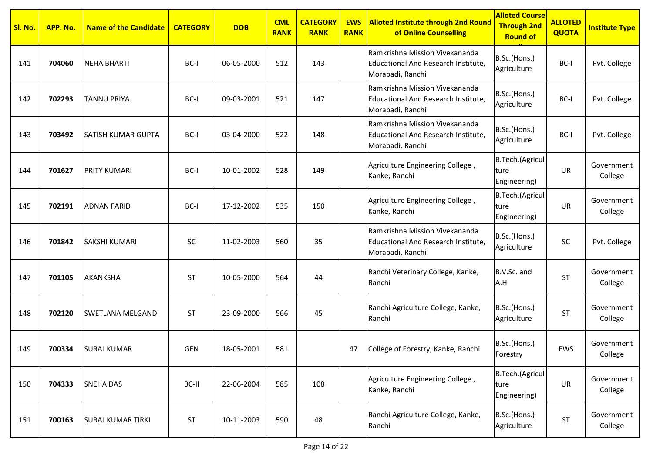| Sl. No. | APP. No. | <b>Name of the Candidate</b> | <b>CATEGORY</b> | <b>DOB</b> | <b>CML</b><br><b>RANK</b> | <b>CATEGORY</b><br><b>RANK</b> | <b>EWS</b><br><b>RANK</b> | <b>Alloted Institute through 2nd Round</b><br>of Online Counselling                              | <b>Alloted Course</b><br><b>Through 2nd</b><br><b>Round of</b> | <b>ALLOTED</b><br><b>QUOTA</b> | <b>Institute Type</b> |
|---------|----------|------------------------------|-----------------|------------|---------------------------|--------------------------------|---------------------------|--------------------------------------------------------------------------------------------------|----------------------------------------------------------------|--------------------------------|-----------------------|
| 141     | 704060   | <b>NEHA BHARTI</b>           | BC-I            | 06-05-2000 | 512                       | 143                            |                           | Ramkrishna Mission Vivekananda<br><b>Educational And Research Institute,</b><br>Morabadi, Ranchi | B.Sc.(Hons.)<br>Agriculture                                    | BC-I                           | Pvt. College          |
| 142     | 702293   | <b>TANNU PRIYA</b>           | BC-I            | 09-03-2001 | 521                       | 147                            |                           | Ramkrishna Mission Vivekananda<br>Educational And Research Institute,<br>Morabadi, Ranchi        | B.Sc.(Hons.)<br>Agriculture                                    | BC-I                           | Pvt. College          |
| 143     | 703492   | SATISH KUMAR GUPTA           | BC-I            | 03-04-2000 | 522                       | 148                            |                           | Ramkrishna Mission Vivekananda<br>Educational And Research Institute,<br>Morabadi, Ranchi        | B.Sc.(Hons.)<br>Agriculture                                    | BC-I                           | Pvt. College          |
| 144     | 701627   | PRITY KUMARI                 | BC-I            | 10-01-2002 | 528                       | 149                            |                           | Agriculture Engineering College,<br>Kanke, Ranchi                                                | <b>B.Tech.</b> (Agricul<br>ture<br>Engineering)                | <b>UR</b>                      | Government<br>College |
| 145     | 702191   | <b>ADNAN FARID</b>           | BC-I            | 17-12-2002 | 535                       | 150                            |                           | Agriculture Engineering College,<br>Kanke, Ranchi                                                | <b>B.Tech.</b> (Agricul<br>ture<br>Engineering)                | UR                             | Government<br>College |
| 146     | 701842   | SAKSHI KUMARI                | SC              | 11-02-2003 | 560                       | 35                             |                           | Ramkrishna Mission Vivekananda<br>Educational And Research Institute,<br>Morabadi, Ranchi        | B.Sc.(Hons.)<br>Agriculture                                    | <b>SC</b>                      | Pvt. College          |
| 147     | 701105   | AKANKSHA                     | <b>ST</b>       | 10-05-2000 | 564                       | 44                             |                           | Ranchi Veterinary College, Kanke,<br>Ranchi                                                      | B.V.Sc. and<br>A.H.                                            | <b>ST</b>                      | Government<br>College |
| 148     | 702120   | <b>SWETLANA MELGANDI</b>     | <b>ST</b>       | 23-09-2000 | 566                       | 45                             |                           | Ranchi Agriculture College, Kanke,<br>Ranchi                                                     | B.Sc.(Hons.)<br>Agriculture                                    | ST                             | Government<br>College |
| 149     | 700334   | <b>SURAJ KUMAR</b>           | <b>GEN</b>      | 18-05-2001 | 581                       |                                | 47                        | College of Forestry, Kanke, Ranchi                                                               | B.Sc.(Hons.)<br>Forestry                                       | EWS                            | Government<br>College |
| 150     | 704333   | <b>SNEHA DAS</b>             | BC-II           | 22-06-2004 | 585                       | 108                            |                           | Agriculture Engineering College,<br>Kanke, Ranchi                                                | B.Tech.(Agricul<br>ture<br>Engineering)                        | <b>UR</b>                      | Government<br>College |
| 151     | 700163   | <b>SURAJ KUMAR TIRKI</b>     | ST              | 10-11-2003 | 590                       | 48                             |                           | Ranchi Agriculture College, Kanke,<br>Ranchi                                                     | B.Sc.(Hons.)<br>Agriculture                                    | <b>ST</b>                      | Government<br>College |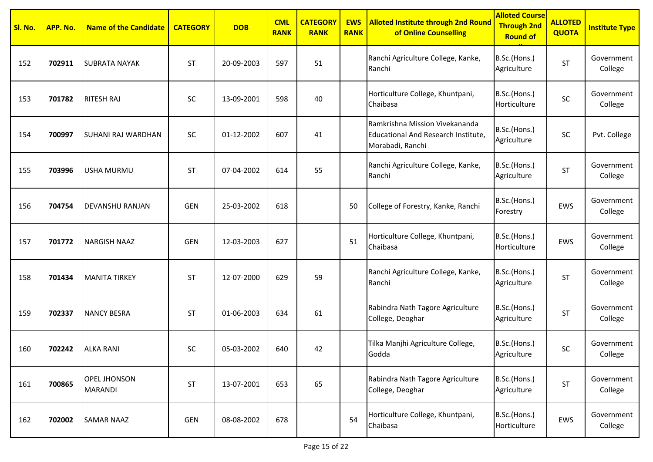| Sl. No. | APP. No. | <b>Name of the Candidate</b>          | <b>CATEGORY</b> | <b>DOB</b> | <b>CML</b><br><b>RANK</b> | <b>CATEGORY</b><br><b>RANK</b> | <b>EWS</b><br><b>RANK</b> | <b>Alloted Institute through 2nd Round</b><br>of Online Counselling                       | <b>Alloted Course</b><br><b>Through 2nd</b><br><b>Round of</b> | <b>ALLOTED</b><br><b>QUOTA</b> | <b>Institute Type</b> |
|---------|----------|---------------------------------------|-----------------|------------|---------------------------|--------------------------------|---------------------------|-------------------------------------------------------------------------------------------|----------------------------------------------------------------|--------------------------------|-----------------------|
| 152     | 702911   | <b>SUBRATA NAYAK</b>                  | <b>ST</b>       | 20-09-2003 | 597                       | 51                             |                           | Ranchi Agriculture College, Kanke,<br>Ranchi                                              | B.Sc.(Hons.)<br>Agriculture                                    | <b>ST</b>                      | Government<br>College |
| 153     | 701782   | <b>RITESH RAJ</b>                     | SC              | 13-09-2001 | 598                       | 40                             |                           | Horticulture College, Khuntpani,<br>Chaibasa                                              | B.Sc.(Hons.)<br>Horticulture                                   | SC                             | Government<br>College |
| 154     | 700997   | <b>SUHANI RAJ WARDHAN</b>             | SC              | 01-12-2002 | 607                       | 41                             |                           | Ramkrishna Mission Vivekananda<br>Educational And Research Institute,<br>Morabadi, Ranchi | B.Sc.(Hons.)<br>Agriculture                                    | SC                             | Pvt. College          |
| 155     | 703996   | <b>USHA MURMU</b>                     | <b>ST</b>       | 07-04-2002 | 614                       | 55                             |                           | Ranchi Agriculture College, Kanke,<br>Ranchi                                              | B.Sc.(Hons.)<br>Agriculture                                    | <b>ST</b>                      | Government<br>College |
| 156     | 704754   | <b>DEVANSHU RANJAN</b>                | <b>GEN</b>      | 25-03-2002 | 618                       |                                | 50                        | College of Forestry, Kanke, Ranchi                                                        | B.Sc.(Hons.)<br>Forestry                                       | EWS                            | Government<br>College |
| 157     | 701772   | <b>NARGISH NAAZ</b>                   | <b>GEN</b>      | 12-03-2003 | 627                       |                                | 51                        | Horticulture College, Khuntpani,<br>Chaibasa                                              | B.Sc.(Hons.)<br>Horticulture                                   | <b>EWS</b>                     | Government<br>College |
| 158     | 701434   | <b>MANITA TIRKEY</b>                  | <b>ST</b>       | 12-07-2000 | 629                       | 59                             |                           | Ranchi Agriculture College, Kanke,<br>Ranchi                                              | B.Sc.(Hons.)<br>Agriculture                                    | <b>ST</b>                      | Government<br>College |
| 159     | 702337   | <b>NANCY BESRA</b>                    | <b>ST</b>       | 01-06-2003 | 634                       | 61                             |                           | Rabindra Nath Tagore Agriculture<br>College, Deoghar                                      | B.Sc.(Hons.)<br>Agriculture                                    | <b>ST</b>                      | Government<br>College |
| 160     | 702242   | <b>ALKA RANI</b>                      | SC              | 05-03-2002 | 640                       | 42                             |                           | Tilka Manjhi Agriculture College,<br>Godda                                                | B.Sc.(Hons.)<br>Agriculture                                    | SC                             | Government<br>College |
| 161     | 700865   | <b>OPEL JHONSON</b><br><b>MARANDI</b> | <b>ST</b>       | 13-07-2001 | 653                       | 65                             |                           | Rabindra Nath Tagore Agriculture<br>College, Deoghar                                      | B.Sc.(Hons.)<br>Agriculture                                    | <b>ST</b>                      | Government<br>College |
| 162     | 702002   | <b>SAMAR NAAZ</b>                     | GEN             | 08-08-2002 | 678                       |                                | 54                        | Horticulture College, Khuntpani,<br>Chaibasa                                              | B.Sc.(Hons.)<br>Horticulture                                   | EWS                            | Government<br>College |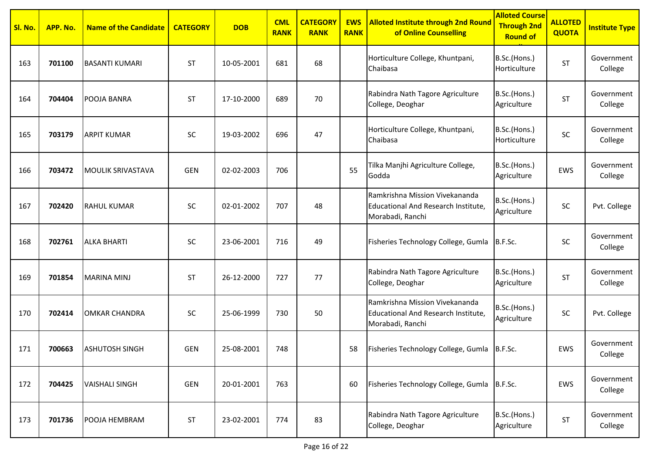| Sl. No. | APP. No. | <b>Name of the Candidate</b> | <b>CATEGORY</b> | <b>DOB</b> | <b>CML</b><br><b>RANK</b> | <b>CATEGORY</b><br><b>RANK</b> | <b>EWS</b><br><b>RANK</b> | <b>Alloted Institute through 2nd Round</b><br>of Online Counselling                       | <b>Alloted Course</b><br><b>Through 2nd</b><br><b>Round of</b> | <b>ALLOTED</b><br><b>QUOTA</b> | <b>Institute Type</b> |
|---------|----------|------------------------------|-----------------|------------|---------------------------|--------------------------------|---------------------------|-------------------------------------------------------------------------------------------|----------------------------------------------------------------|--------------------------------|-----------------------|
| 163     | 701100   | <b>BASANTI KUMARI</b>        | <b>ST</b>       | 10-05-2001 | 681                       | 68                             |                           | Horticulture College, Khuntpani,<br>Chaibasa                                              | B.Sc.(Hons.)<br>Horticulture                                   | <b>ST</b>                      | Government<br>College |
| 164     | 704404   | POOJA BANRA                  | <b>ST</b>       | 17-10-2000 | 689                       | 70                             |                           | Rabindra Nath Tagore Agriculture<br>College, Deoghar                                      | B.Sc.(Hons.)<br>Agriculture                                    | <b>ST</b>                      | Government<br>College |
| 165     | 703179   | <b>ARPIT KUMAR</b>           | SC              | 19-03-2002 | 696                       | 47                             |                           | Horticulture College, Khuntpani,<br>Chaibasa                                              | B.Sc.(Hons.)<br>Horticulture                                   | SC                             | Government<br>College |
| 166     | 703472   | <b>MOULIK SRIVASTAVA</b>     | <b>GEN</b>      | 02-02-2003 | 706                       |                                | 55                        | Tilka Manjhi Agriculture College,<br>Godda                                                | B.Sc.(Hons.)<br>Agriculture                                    | <b>EWS</b>                     | Government<br>College |
| 167     | 702420   | <b>RAHUL KUMAR</b>           | SC              | 02-01-2002 | 707                       | 48                             |                           | Ramkrishna Mission Vivekananda<br>Educational And Research Institute,<br>Morabadi, Ranchi | B.Sc.(Hons.)<br>Agriculture                                    | <b>SC</b>                      | Pvt. College          |
| 168     | 702761   | <b>ALKA BHARTI</b>           | SC              | 23-06-2001 | 716                       | 49                             |                           | Fisheries Technology College, Gumla   B.F.Sc.                                             |                                                                | <b>SC</b>                      | Government<br>College |
| 169     | 701854   | <b>MARINA MINJ</b>           | <b>ST</b>       | 26-12-2000 | 727                       | 77                             |                           | Rabindra Nath Tagore Agriculture<br>College, Deoghar                                      | B.Sc.(Hons.)<br>Agriculture                                    | <b>ST</b>                      | Government<br>College |
| 170     | 702414   | <b>OMKAR CHANDRA</b>         | SC              | 25-06-1999 | 730                       | 50                             |                           | Ramkrishna Mission Vivekananda<br>Educational And Research Institute,<br>Morabadi, Ranchi | B.Sc.(Hons.)<br>Agriculture                                    | <b>SC</b>                      | Pvt. College          |
| 171     | 700663   | <b>ASHUTOSH SINGH</b>        | <b>GEN</b>      | 25-08-2001 | 748                       |                                | 58                        | Fisheries Technology College, Gumla B.F.Sc.                                               |                                                                | EWS                            | Government<br>College |
| 172     | 704425   | <b>VAISHALI SINGH</b>        | GEN             | 20-01-2001 | 763                       |                                | 60                        | Fisheries Technology College, Gumla B.F.Sc.                                               |                                                                | EWS                            | Government<br>College |
| 173     | 701736   | POOJA HEMBRAM                | <b>ST</b>       | 23-02-2001 | 774                       | 83                             |                           | Rabindra Nath Tagore Agriculture<br>College, Deoghar                                      | B.Sc.(Hons.)<br>Agriculture                                    | <b>ST</b>                      | Government<br>College |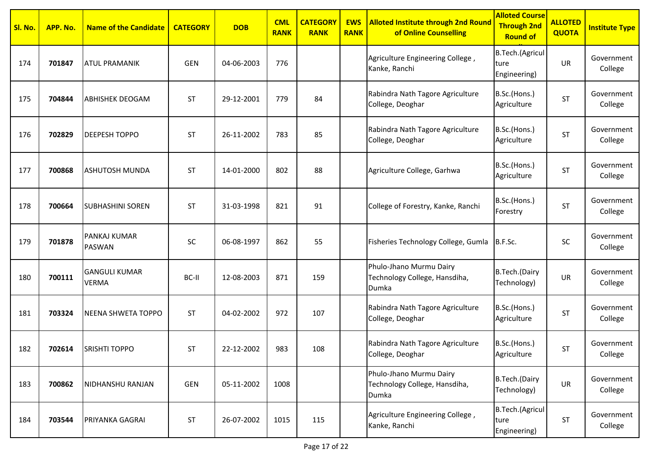| Sl. No. | APP. No. | <b>Name of the Candidate</b>         | <b>CATEGORY</b> | <b>DOB</b> | <b>CML</b><br><b>RANK</b> | <b>CATEGORY</b><br><b>RANK</b> | <b>EWS</b><br><b>RANK</b> | <b>Alloted Institute through 2nd Round</b><br>of Online Counselling | <b>Alloted Course</b><br><b>Through 2nd</b><br><b>Round of</b> | <b>ALLOTED</b><br><b>QUOTA</b> | <b>Institute Type</b> |
|---------|----------|--------------------------------------|-----------------|------------|---------------------------|--------------------------------|---------------------------|---------------------------------------------------------------------|----------------------------------------------------------------|--------------------------------|-----------------------|
| 174     | 701847   | <b>ATUL PRAMANIK</b>                 | <b>GEN</b>      | 04-06-2003 | 776                       |                                |                           | Agriculture Engineering College,<br>Kanke, Ranchi                   | B.Tech.(Agricul<br>ture<br>Engineering)                        | <b>UR</b>                      | Government<br>College |
| 175     | 704844   | <b>ABHISHEK DEOGAM</b>               | <b>ST</b>       | 29-12-2001 | 779                       | 84                             |                           | Rabindra Nath Tagore Agriculture<br>College, Deoghar                | B.Sc.(Hons.)<br>Agriculture                                    | <b>ST</b>                      | Government<br>College |
| 176     | 702829   | <b>DEEPESH TOPPO</b>                 | <b>ST</b>       | 26-11-2002 | 783                       | 85                             |                           | Rabindra Nath Tagore Agriculture<br>College, Deoghar                | B.Sc.(Hons.)<br>Agriculture                                    | <b>ST</b>                      | Government<br>College |
| 177     | 700868   | <b>ASHUTOSH MUNDA</b>                | <b>ST</b>       | 14-01-2000 | 802                       | 88                             |                           | Agriculture College, Garhwa                                         | B.Sc.(Hons.)<br>Agriculture                                    | <b>ST</b>                      | Government<br>College |
| 178     | 700664   | <b>SUBHASHINI SOREN</b>              | <b>ST</b>       | 31-03-1998 | 821                       | 91                             |                           | College of Forestry, Kanke, Ranchi                                  | B.Sc.(Hons.)<br>Forestry                                       | <b>ST</b>                      | Government<br>College |
| 179     | 701878   | <b>PANKAJ KUMAR</b><br><b>PASWAN</b> | SC              | 06-08-1997 | 862                       | 55                             |                           | Fisheries Technology College, Gumla                                 | B.F.Sc.                                                        | <b>SC</b>                      | Government<br>College |
| 180     | 700111   | <b>GANGULI KUMAR</b><br><b>VERMA</b> | BC-II           | 12-08-2003 | 871                       | 159                            |                           | Phulo-Jhano Murmu Dairy<br>Technology College, Hansdiha,<br>Dumka   | B.Tech.(Dairy<br>Technology)                                   | UR                             | Government<br>College |
| 181     | 703324   | NEENA SHWETA TOPPO                   | <b>ST</b>       | 04-02-2002 | 972                       | 107                            |                           | Rabindra Nath Tagore Agriculture<br>College, Deoghar                | B.Sc.(Hons.)<br>Agriculture                                    | <b>ST</b>                      | Government<br>College |
| 182     | 702614   | <b>SRISHTI TOPPO</b>                 | ST              | 22-12-2002 | 983                       | 108                            |                           | Rabindra Nath Tagore Agriculture<br>College, Deoghar                | B.Sc.(Hons.)<br>Agriculture                                    | <b>ST</b>                      | Government<br>College |
| 183     | 700862   | NIDHANSHU RANJAN                     | GEN             | 05-11-2002 | 1008                      |                                |                           | Phulo-Jhano Murmu Dairy<br>Technology College, Hansdiha,<br>Dumka   | B.Tech.(Dairy<br>Technology)                                   | UR                             | Government<br>College |
| 184     | 703544   | <b>PRIYANKA GAGRAI</b>               | <b>ST</b>       | 26-07-2002 | 1015                      | 115                            |                           | Agriculture Engineering College,<br>Kanke, Ranchi                   | B.Tech.(Agricul<br>ture<br>Engineering)                        | <b>ST</b>                      | Government<br>College |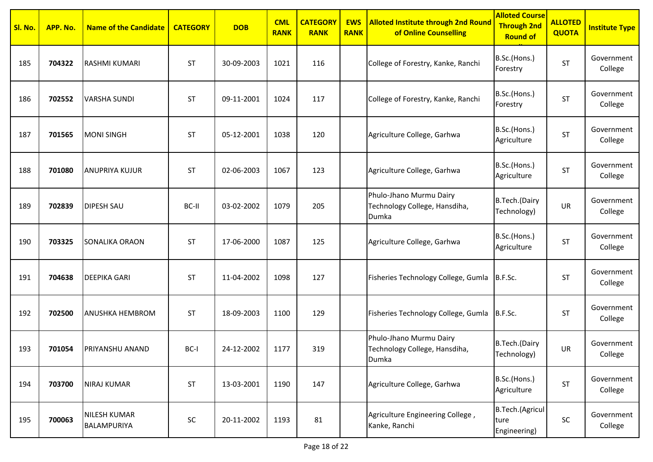| Sl. No. | APP. No. | <b>Name of the Candidate</b>       | <b>CATEGORY</b> | <b>DOB</b> | <b>CML</b><br><b>RANK</b> | <b>CATEGORY</b><br><b>RANK</b> | <b>EWS</b><br><b>RANK</b> | <b>Alloted Institute through 2nd Round</b><br>of Online Counselling      | <b>Alloted Course</b><br><b>Through 2nd</b><br><b>Round of</b> | <b>ALLOTED</b><br><b>QUOTA</b> | <b>Institute Type</b> |
|---------|----------|------------------------------------|-----------------|------------|---------------------------|--------------------------------|---------------------------|--------------------------------------------------------------------------|----------------------------------------------------------------|--------------------------------|-----------------------|
| 185     | 704322   | <b>RASHMI KUMARI</b>               | ST              | 30-09-2003 | 1021                      | 116                            |                           | College of Forestry, Kanke, Ranchi                                       | B.Sc.(Hons.)<br>Forestry                                       | ST                             | Government<br>College |
| 186     | 702552   | <b>VARSHA SUNDI</b>                | <b>ST</b>       | 09-11-2001 | 1024                      | 117                            |                           | College of Forestry, Kanke, Ranchi                                       | B.Sc.(Hons.)<br>Forestry                                       | ST                             | Government<br>College |
| 187     | 701565   | <b>MONI SINGH</b>                  | <b>ST</b>       | 05-12-2001 | 1038                      | 120                            |                           | Agriculture College, Garhwa                                              | B.Sc.(Hons.)<br>Agriculture                                    | <b>ST</b>                      | Government<br>College |
| 188     | 701080   | <b>ANUPRIYA KUJUR</b>              | ST              | 02-06-2003 | 1067                      | 123                            |                           | Agriculture College, Garhwa                                              | B.Sc.(Hons.)<br>Agriculture                                    | ST                             | Government<br>College |
| 189     | 702839   | <b>DIPESH SAU</b>                  | BC-II           | 03-02-2002 | 1079                      | 205                            |                           | Phulo-Jhano Murmu Dairy<br>Technology College, Hansdiha,<br>Dumka        | B.Tech.(Dairy<br>Technology)                                   | UR                             | Government<br>College |
| 190     | 703325   | <b>SONALIKA ORAON</b>              | <b>ST</b>       | 17-06-2000 | 1087                      | 125                            |                           | Agriculture College, Garhwa                                              | B.Sc.(Hons.)<br>Agriculture                                    | <b>ST</b>                      | Government<br>College |
| 191     | 704638   | <b>DEEPIKA GARI</b>                | ST              | 11-04-2002 | 1098                      | 127                            |                           | Fisheries Technology College, Gumla                                      | B.F.Sc.                                                        | ST                             | Government<br>College |
| 192     | 702500   | <b>ANUSHKA HEMBROM</b>             | <b>ST</b>       | 18-09-2003 | 1100                      | 129                            |                           | Fisheries Technology College, Gumla                                      | B.F.Sc.                                                        | ST                             | Government<br>College |
| 193     | 701054   | <b>PRIYANSHU ANAND</b>             | BC-I            | 24-12-2002 | 1177                      | 319                            |                           | Phulo-Jhano Murmu Dairy<br>Technology College, Hansdiha,<br><b>Dumka</b> | B.Tech.(Dairy<br>Technology)                                   | UR                             | Government<br>College |
| 194     | 703700   | <b>NIRAJ KUMAR</b>                 | ST              | 13-03-2001 | 1190                      | 147                            |                           | Agriculture College, Garhwa                                              | B.Sc.(Hons.)<br>Agriculture                                    | <b>ST</b>                      | Government<br>College |
| 195     | 700063   | <b>NILESH KUMAR</b><br>BALAMPURIYA | SC              | 20-11-2002 | 1193                      | 81                             |                           | Agriculture Engineering College,<br>Kanke, Ranchi                        | B.Tech.(Agricul<br>ture<br>Engineering)                        | ${\sf SC}$                     | Government<br>College |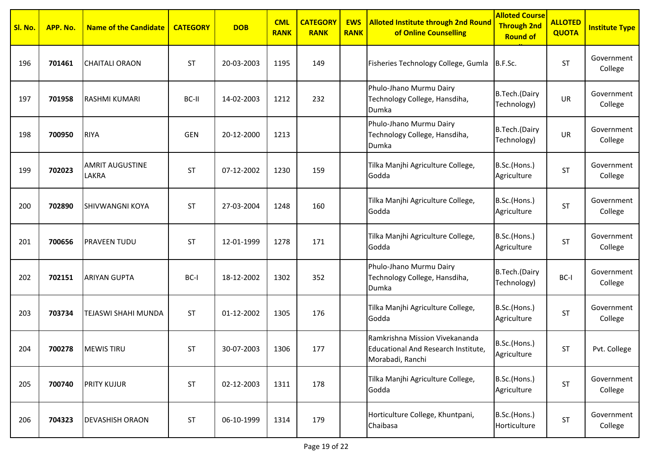| Sl. No. | APP. No. | <b>Name of the Candidate</b>           | <b>CATEGORY</b> | <b>DOB</b> | <b>CML</b><br><b>RANK</b> | <b>CATEGORY</b><br><b>RANK</b> | <b>EWS</b><br><b>RANK</b> | <b>Alloted Institute through 2nd Round</b><br>of Online Counselling                       | <b>Alloted Course</b><br><b>Through 2nd</b><br><b>Round of</b> | <b>ALLOTED</b><br><b>QUOTA</b> | <b>Institute Type</b> |
|---------|----------|----------------------------------------|-----------------|------------|---------------------------|--------------------------------|---------------------------|-------------------------------------------------------------------------------------------|----------------------------------------------------------------|--------------------------------|-----------------------|
| 196     | 701461   | <b>CHAITALI ORAON</b>                  | ST              | 20-03-2003 | 1195                      | 149                            |                           | Fisheries Technology College, Gumla                                                       | B.F.Sc.                                                        | <b>ST</b>                      | Government<br>College |
| 197     | 701958   | <b>RASHMI KUMARI</b>                   | BC-II           | 14-02-2003 | 1212                      | 232                            |                           | Phulo-Jhano Murmu Dairy<br>Technology College, Hansdiha,<br>Dumka                         | B.Tech.(Dairy<br>Technology)                                   | UR                             | Government<br>College |
| 198     | 700950   | <b>RIYA</b>                            | <b>GEN</b>      | 20-12-2000 | 1213                      |                                |                           | Phulo-Jhano Murmu Dairy<br>Technology College, Hansdiha,<br>Dumka                         | B.Tech.(Dairy<br>Technology)                                   | <b>UR</b>                      | Government<br>College |
| 199     | 702023   | <b>AMRIT AUGUSTINE</b><br><b>LAKRA</b> | ST              | 07-12-2002 | 1230                      | 159                            |                           | Tilka Manjhi Agriculture College,<br>Godda                                                | B.Sc.(Hons.)<br>Agriculture                                    | <b>ST</b>                      | Government<br>College |
| 200     | 702890   | <b>SHIVWANGNI KOYA</b>                 | <b>ST</b>       | 27-03-2004 | 1248                      | 160                            |                           | Tilka Manjhi Agriculture College,<br>Godda                                                | B.Sc.(Hons.)<br>Agriculture                                    | <b>ST</b>                      | Government<br>College |
| 201     | 700656   | <b>PRAVEEN TUDU</b>                    | <b>ST</b>       | 12-01-1999 | 1278                      | 171                            |                           | Tilka Manjhi Agriculture College,<br>Godda                                                | B.Sc.(Hons.)<br>Agriculture                                    | <b>ST</b>                      | Government<br>College |
| 202     | 702151   | <b>ARIYAN GUPTA</b>                    | BC-I            | 18-12-2002 | 1302                      | 352                            |                           | Phulo-Jhano Murmu Dairy<br>Technology College, Hansdiha,<br>Dumka                         | B.Tech.(Dairy<br>Technology)                                   | BC-I                           | Government<br>College |
| 203     | 703734   | TEJASWI SHAHI MUNDA                    | <b>ST</b>       | 01-12-2002 | 1305                      | 176                            |                           | Tilka Manjhi Agriculture College,<br>Godda                                                | B.Sc.(Hons.)<br>Agriculture                                    | <b>ST</b>                      | Government<br>College |
| 204     | 700278   | <b>MEWIS TIRU</b>                      | ST              | 30-07-2003 | 1306                      | 177                            |                           | Ramkrishna Mission Vivekananda<br>Educational And Research Institute,<br>Morabadi, Ranchi | B.Sc.(Hons.)<br>Agriculture                                    | <b>ST</b>                      | Pvt. College          |
| 205     | 700740   | <b>PRITY KUJUR</b>                     | ST              | 02-12-2003 | 1311                      | 178                            |                           | Tilka Manjhi Agriculture College,<br>Godda                                                | B.Sc.(Hons.)<br>Agriculture                                    | <b>ST</b>                      | Government<br>College |
| 206     | 704323   | <b>DEVASHISH ORAON</b>                 | ST              | 06-10-1999 | 1314                      | 179                            |                           | Horticulture College, Khuntpani,<br>Chaibasa                                              | B.Sc.(Hons.)<br>Horticulture                                   | <b>ST</b>                      | Government<br>College |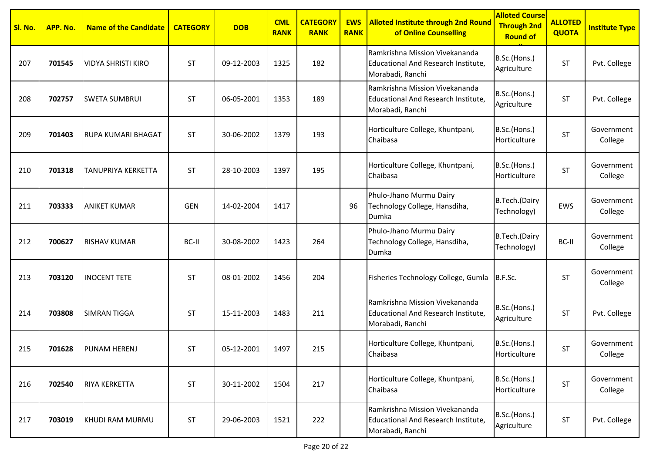| Sl. No. | APP. No. | <b>Name of the Candidate</b> | <b>CATEGORY</b> | <b>DOB</b> | <b>CML</b><br><b>RANK</b> | <b>CATEGORY</b><br><b>RANK</b> | <b>EWS</b><br><b>RANK</b> | <b>Alloted Institute through 2nd Round</b><br>of Online Counselling                       | <b>Alloted Course</b><br><b>Through 2nd</b><br><b>Round of</b> | <b>ALLOTED</b><br><b>QUOTA</b> | <b>Institute Type</b> |
|---------|----------|------------------------------|-----------------|------------|---------------------------|--------------------------------|---------------------------|-------------------------------------------------------------------------------------------|----------------------------------------------------------------|--------------------------------|-----------------------|
| 207     | 701545   | <b>VIDYA SHRISTI KIRO</b>    | <b>ST</b>       | 09-12-2003 | 1325                      | 182                            |                           | Ramkrishna Mission Vivekananda<br>Educational And Research Institute,<br>Morabadi, Ranchi | B.Sc.(Hons.)<br>Agriculture                                    | <b>ST</b>                      | Pvt. College          |
| 208     | 702757   | <b>SWETA SUMBRUI</b>         | <b>ST</b>       | 06-05-2001 | 1353                      | 189                            |                           | Ramkrishna Mission Vivekananda<br>Educational And Research Institute,<br>Morabadi, Ranchi | B.Sc.(Hons.)<br>Agriculture                                    | <b>ST</b>                      | Pvt. College          |
| 209     | 701403   | <b>RUPA KUMARI BHAGAT</b>    | <b>ST</b>       | 30-06-2002 | 1379                      | 193                            |                           | Horticulture College, Khuntpani,<br>Chaibasa                                              | B.Sc.(Hons.)<br>Horticulture                                   | ST                             | Government<br>College |
| 210     | 701318   | TANUPRIYA KERKETTA           | <b>ST</b>       | 28-10-2003 | 1397                      | 195                            |                           | Horticulture College, Khuntpani,<br>Chaibasa                                              | B.Sc.(Hons.)<br>Horticulture                                   | <b>ST</b>                      | Government<br>College |
| 211     | 703333   | <b>ANIKET KUMAR</b>          | <b>GEN</b>      | 14-02-2004 | 1417                      |                                | 96                        | Phulo-Jhano Murmu Dairy<br>Technology College, Hansdiha,<br>Dumka                         | B.Tech.(Dairy<br>Technology)                                   | <b>EWS</b>                     | Government<br>College |
| 212     | 700627   | <b>RISHAV KUMAR</b>          | BC-II           | 30-08-2002 | 1423                      | 264                            |                           | Phulo-Jhano Murmu Dairy<br>Technology College, Hansdiha,<br>Dumka                         | B.Tech.(Dairy<br>Technology)                                   | BC-II                          | Government<br>College |
| 213     | 703120   | <b>INOCENT TETE</b>          | <b>ST</b>       | 08-01-2002 | 1456                      | 204                            |                           | Fisheries Technology College, Gumla                                                       | B.F.Sc.                                                        | <b>ST</b>                      | Government<br>College |
| 214     | 703808   | <b>SIMRAN TIGGA</b>          | <b>ST</b>       | 15-11-2003 | 1483                      | 211                            |                           | Ramkrishna Mission Vivekananda<br>Educational And Research Institute,<br>Morabadi, Ranchi | B.Sc.(Hons.)<br>Agriculture                                    | <b>ST</b>                      | Pvt. College          |
| 215     | 701628   | PUNAM HERENJ                 | <b>ST</b>       | 05-12-2001 | 1497                      | 215                            |                           | Horticulture College, Khuntpani,<br>Chaibasa                                              | B.Sc.(Hons.)<br>Horticulture                                   | <b>ST</b>                      | Government<br>College |
| 216     | 702540   | <b>RIYA KERKETTA</b>         | <b>ST</b>       | 30-11-2002 | 1504                      | 217                            |                           | Horticulture College, Khuntpani,<br>Chaibasa                                              | B.Sc.(Hons.)<br>Horticulture                                   | <b>ST</b>                      | Government<br>College |
| 217     | 703019   | KHUDI RAM MURMU              | <b>ST</b>       | 29-06-2003 | 1521                      | 222                            |                           | Ramkrishna Mission Vivekananda<br>Educational And Research Institute,<br>Morabadi, Ranchi | B.Sc.(Hons.)<br>Agriculture                                    | <b>ST</b>                      | Pvt. College          |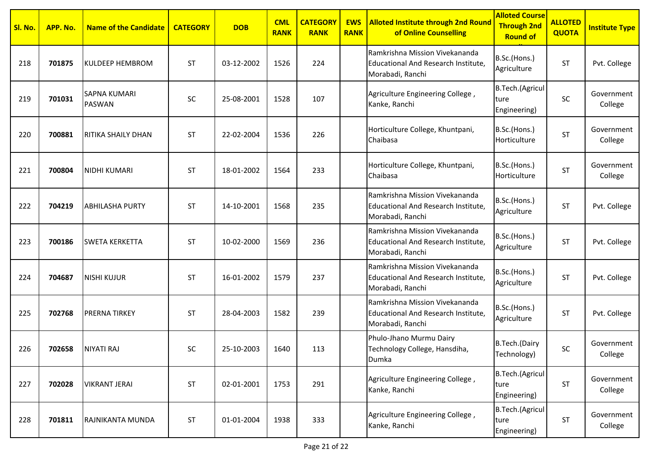| Sl. No. | APP. No. | <b>Name of the Candidate</b>         | <b>CATEGORY</b> | <b>DOB</b> | <b>CML</b><br><b>RANK</b> | <b>CATEGORY</b><br><b>RANK</b> | <b>EWS</b><br><b>RANK</b> | <b>Alloted Institute through 2nd Round</b><br>of Online Counselling                              | <b>Alloted Course</b><br><b>Through 2nd</b><br><b>Round of</b> | <b>ALLOTED</b><br><b>QUOTA</b> | <b>Institute Type</b> |
|---------|----------|--------------------------------------|-----------------|------------|---------------------------|--------------------------------|---------------------------|--------------------------------------------------------------------------------------------------|----------------------------------------------------------------|--------------------------------|-----------------------|
| 218     | 701875   | KULDEEP HEMBROM                      | <b>ST</b>       | 03-12-2002 | 1526                      | 224                            |                           | Ramkrishna Mission Vivekananda<br>Educational And Research Institute,<br>Morabadi, Ranchi        | B.Sc.(Hons.)<br>Agriculture                                    | <b>ST</b>                      | Pvt. College          |
| 219     | 701031   | <b>SAPNA KUMARI</b><br><b>PASWAN</b> | SC              | 25-08-2001 | 1528                      | 107                            |                           | Agriculture Engineering College,<br>Kanke, Ranchi                                                | B.Tech.(Agricul<br>ture<br>Engineering)                        | SC                             | Government<br>College |
| 220     | 700881   | RITIKA SHAILY DHAN                   | <b>ST</b>       | 22-02-2004 | 1536                      | 226                            |                           | Horticulture College, Khuntpani,<br>Chaibasa                                                     | B.Sc.(Hons.)<br>Horticulture                                   | <b>ST</b>                      | Government<br>College |
| 221     | 700804   | <b>NIDHI KUMARI</b>                  | <b>ST</b>       | 18-01-2002 | 1564                      | 233                            |                           | Horticulture College, Khuntpani,<br>Chaibasa                                                     | B.Sc.(Hons.)<br>Horticulture                                   | <b>ST</b>                      | Government<br>College |
| 222     | 704219   | <b>ABHILASHA PURTY</b>               | <b>ST</b>       | 14-10-2001 | 1568                      | 235                            |                           | Ramkrishna Mission Vivekananda<br><b>Educational And Research Institute,</b><br>Morabadi, Ranchi | B.Sc.(Hons.)<br>Agriculture                                    | <b>ST</b>                      | Pvt. College          |
| 223     | 700186   | <b>SWETA KERKETTA</b>                | <b>ST</b>       | 10-02-2000 | 1569                      | 236                            |                           | Ramkrishna Mission Vivekananda<br>Educational And Research Institute,<br>Morabadi, Ranchi        | B.Sc.(Hons.)<br>Agriculture                                    | <b>ST</b>                      | Pvt. College          |
| 224     | 704687   | <b>NISHI KUJUR</b>                   | ST              | 16-01-2002 | 1579                      | 237                            |                           | Ramkrishna Mission Vivekananda<br>Educational And Research Institute,<br>Morabadi, Ranchi        | B.Sc.(Hons.)<br>Agriculture                                    | <b>ST</b>                      | Pvt. College          |
| 225     | 702768   | <b>PRERNA TIRKEY</b>                 | <b>ST</b>       | 28-04-2003 | 1582                      | 239                            |                           | Ramkrishna Mission Vivekananda<br><b>Educational And Research Institute,</b><br>Morabadi, Ranchi | B.Sc.(Hons.)<br>Agriculture                                    | <b>ST</b>                      | Pvt. College          |
| 226     | 702658   | <b>NIYATI RAJ</b>                    | SC              | 25-10-2003 | 1640                      | 113                            |                           | Phulo-Jhano Murmu Dairy<br>Technology College, Hansdiha,<br>IDumka                               | B.Tech.(Dairy<br>Technology)                                   | $\sf SC$                       | Government<br>College |
| 227     | 702028   | <b>VIKRANT JERAI</b>                 | ST              | 02-01-2001 | 1753                      | 291                            |                           | Agriculture Engineering College,<br>Kanke, Ranchi                                                | B.Tech.(Agricul<br>ture<br>Engineering)                        | <b>ST</b>                      | Government<br>College |
| 228     | 701811   | RAJNIKANTA MUNDA                     | ST              | 01-01-2004 | 1938                      | 333                            |                           | Agriculture Engineering College,<br>Kanke, Ranchi                                                | B.Tech.(Agricul<br>ture<br>Engineering)                        | <b>ST</b>                      | Government<br>College |